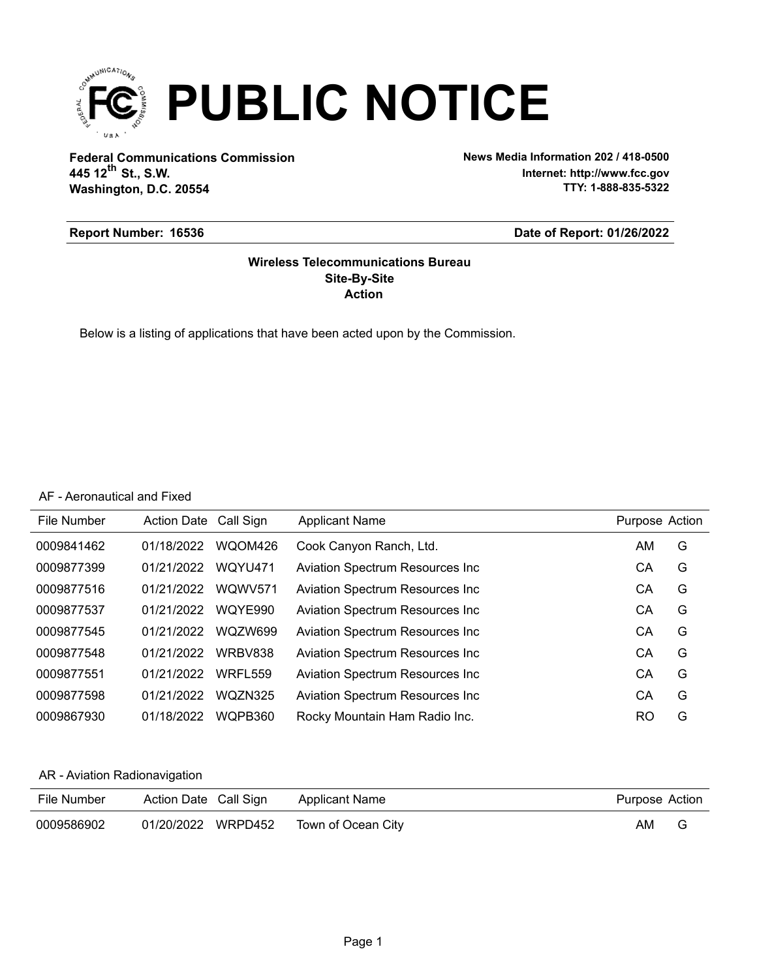

**Federal Communications Commission News Media Information 202 / 418-0500 Washington, D.C. 20554 th 445 12 St., S.W.**

**Internet: http://www.fcc.gov TTY: 1-888-835-5322**

#### **Report Number: 16536**

#### **Date of Report: 01/26/2022**

### **Action Site-By-Site Wireless Telecommunications Bureau**

Below is a listing of applications that have been acted upon by the Commission.

### AF - Aeronautical and Fixed

| File Number | Action Date Call Sign |         | <b>Applicant Name</b>                   | Purpose Action |   |
|-------------|-----------------------|---------|-----------------------------------------|----------------|---|
| 0009841462  | 01/18/2022            | WQOM426 | Cook Canyon Ranch, Ltd.                 | AM.            | G |
| 0009877399  | 01/21/2022            | WQYU471 | <b>Aviation Spectrum Resources Inc.</b> | СA             | G |
| 0009877516  | 01/21/2022            | WQWV571 | Aviation Spectrum Resources Inc         | СA             | G |
| 0009877537  | 01/21/2022            | WQYE990 | <b>Aviation Spectrum Resources Inc.</b> | СA             | G |
| 0009877545  | 01/21/2022            | WQZW699 | Aviation Spectrum Resources Inc         | СA             | G |
| 0009877548  | 01/21/2022            | WRBV838 | <b>Aviation Spectrum Resources Inc.</b> | СA             | G |
| 0009877551  | 01/21/2022            | WRFL559 | Aviation Spectrum Resources Inc         | СA             | G |
| 0009877598  | 01/21/2022            | WQZN325 | Aviation Spectrum Resources Inc         | CА             | G |
| 0009867930  | 01/18/2022            | WQPB360 | Rocky Mountain Ham Radio Inc.           | RO             | G |

### AR - Aviation Radionavigation

| File Number | Action Date Call Sign | Applicant Name     | Purpose Action |   |
|-------------|-----------------------|--------------------|----------------|---|
| 0009586902  | 01/20/2022 WRPD452    | Town of Ocean City | AM             | G |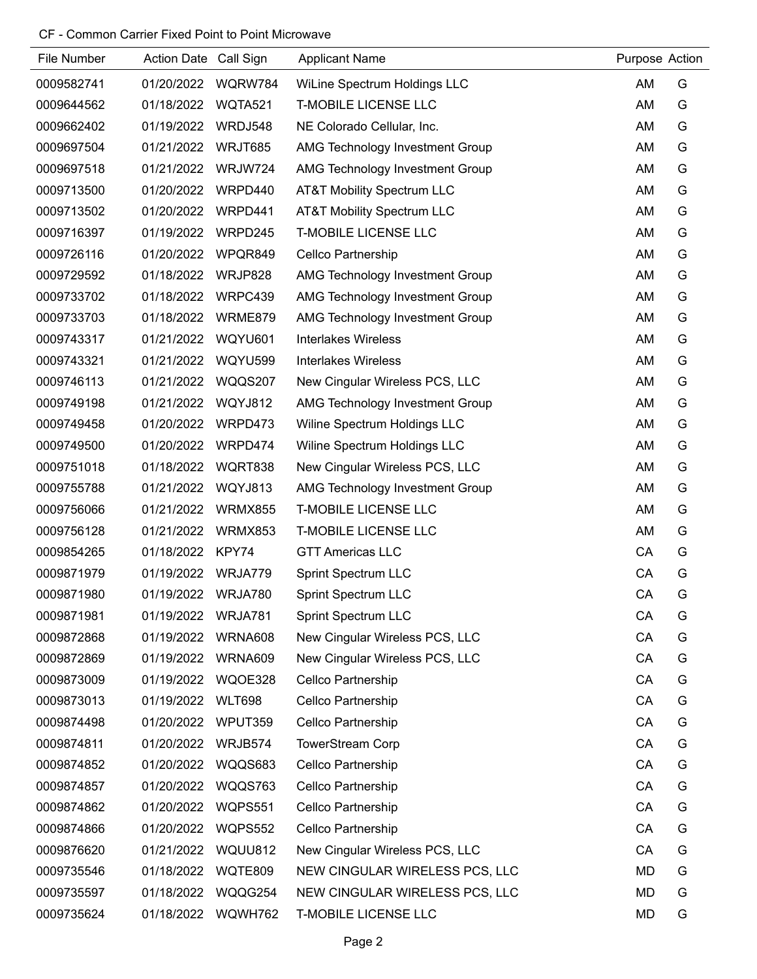| File Number | Action Date Call Sign |                | <b>Applicant Name</b>           | Purpose Action |   |
|-------------|-----------------------|----------------|---------------------------------|----------------|---|
| 0009582741  | 01/20/2022            | WQRW784        | WiLine Spectrum Holdings LLC    | AM             | G |
| 0009644562  | 01/18/2022            | WQTA521        | <b>T-MOBILE LICENSE LLC</b>     | AM             | G |
| 0009662402  | 01/19/2022            | WRDJ548        | NE Colorado Cellular, Inc.      | AM             | G |
| 0009697504  | 01/21/2022            | WRJT685        | AMG Technology Investment Group | AM             | G |
| 0009697518  | 01/21/2022            | WRJW724        | AMG Technology Investment Group | AM             | G |
| 0009713500  | 01/20/2022            | WRPD440        | AT&T Mobility Spectrum LLC      | AM             | G |
| 0009713502  | 01/20/2022            | WRPD441        | AT&T Mobility Spectrum LLC      | AM             | G |
| 0009716397  | 01/19/2022            | WRPD245        | <b>T-MOBILE LICENSE LLC</b>     | AM             | G |
| 0009726116  | 01/20/2022            | WPQR849        | Cellco Partnership              | AM             | G |
| 0009729592  | 01/18/2022            | WRJP828        | AMG Technology Investment Group | AM             | G |
| 0009733702  | 01/18/2022            | WRPC439        | AMG Technology Investment Group | AM             | G |
| 0009733703  | 01/18/2022            | WRME879        | AMG Technology Investment Group | AM             | G |
| 0009743317  | 01/21/2022            | WQYU601        | Interlakes Wireless             | AM             | G |
| 0009743321  | 01/21/2022            | WQYU599        | <b>Interlakes Wireless</b>      | AM             | G |
| 0009746113  | 01/21/2022            | WQQS207        | New Cingular Wireless PCS, LLC  | AM             | G |
| 0009749198  | 01/21/2022            | WQYJ812        | AMG Technology Investment Group | AM             | G |
| 0009749458  | 01/20/2022            | WRPD473        | Wiline Spectrum Holdings LLC    | AM             | G |
| 0009749500  | 01/20/2022            | WRPD474        | Wiline Spectrum Holdings LLC    | AM             | G |
| 0009751018  | 01/18/2022            | WQRT838        | New Cingular Wireless PCS, LLC  | AM             | G |
| 0009755788  | 01/21/2022            | WQYJ813        | AMG Technology Investment Group | AM             | G |
| 0009756066  | 01/21/2022            | <b>WRMX855</b> | <b>T-MOBILE LICENSE LLC</b>     | AM             | G |
| 0009756128  | 01/21/2022            | WRMX853        | <b>T-MOBILE LICENSE LLC</b>     | AM             | G |
| 0009854265  | 01/18/2022            | KPY74          | <b>GTT Americas LLC</b>         | CA             | G |
| 0009871979  | 01/19/2022            | WRJA779        | <b>Sprint Spectrum LLC</b>      | CA             | G |
| 0009871980  | 01/19/2022            | WRJA780        | <b>Sprint Spectrum LLC</b>      | CA             | G |
| 0009871981  | 01/19/2022            | WRJA781        | <b>Sprint Spectrum LLC</b>      | CA             | G |
| 0009872868  | 01/19/2022            | WRNA608        | New Cingular Wireless PCS, LLC  | CA             | G |
| 0009872869  | 01/19/2022            | WRNA609        | New Cingular Wireless PCS, LLC  | CA             | G |
| 0009873009  | 01/19/2022            | WQOE328        | Cellco Partnership              | CA             | G |
| 0009873013  | 01/19/2022            | <b>WLT698</b>  | Cellco Partnership              | CA             | G |
| 0009874498  | 01/20/2022            | WPUT359        | Cellco Partnership              | CA             | G |
| 0009874811  | 01/20/2022            | WRJB574        | <b>TowerStream Corp</b>         | CA             | G |
| 0009874852  | 01/20/2022            | WQQS683        | Cellco Partnership              | CA             | G |
| 0009874857  | 01/20/2022            | WQQS763        | Cellco Partnership              | CA             | G |
| 0009874862  | 01/20/2022            | WQPS551        | Cellco Partnership              | CA             | G |
| 0009874866  | 01/20/2022            | WQPS552        | Cellco Partnership              | CA             | G |
| 0009876620  | 01/21/2022            | WQUU812        | New Cingular Wireless PCS, LLC  | CA             | G |
| 0009735546  | 01/18/2022            | WQTE809        | NEW CINGULAR WIRELESS PCS, LLC  | <b>MD</b>      | G |
| 0009735597  | 01/18/2022            | WQQG254        | NEW CINGULAR WIRELESS PCS, LLC  | <b>MD</b>      | G |
| 0009735624  | 01/18/2022            | WQWH762        | <b>T-MOBILE LICENSE LLC</b>     | <b>MD</b>      | G |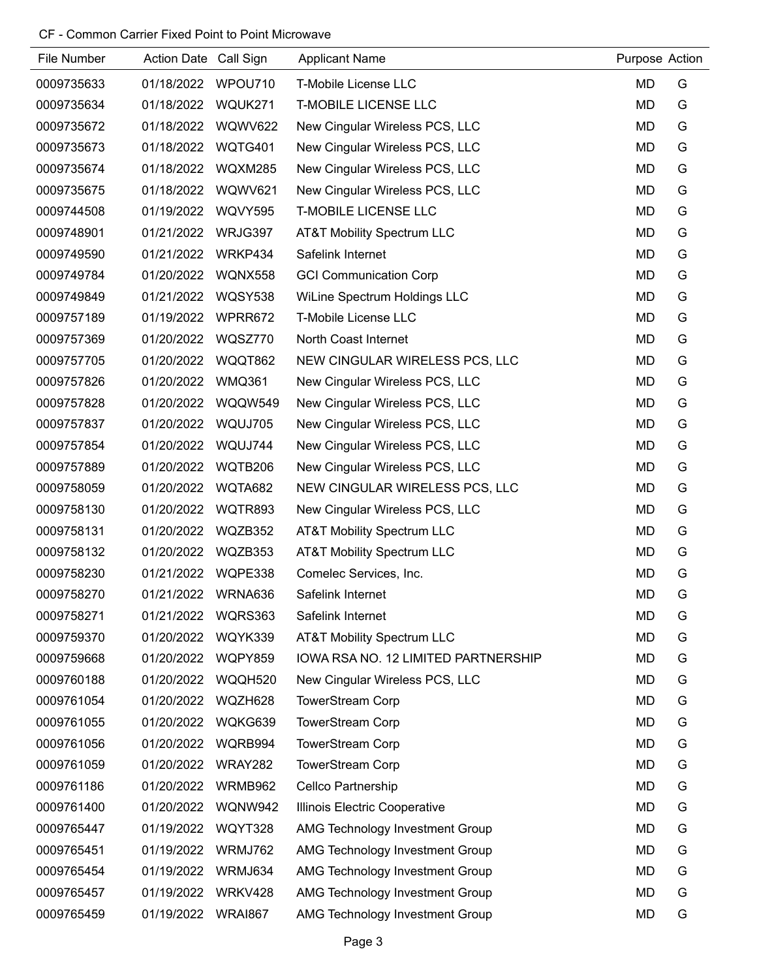| File Number | Action Date Call Sign |                | <b>Applicant Name</b>                 | Purpose Action |   |
|-------------|-----------------------|----------------|---------------------------------------|----------------|---|
| 0009735633  | 01/18/2022            | WPOU710        | T-Mobile License LLC                  | <b>MD</b>      | G |
| 0009735634  | 01/18/2022            | WQUK271        | <b>T-MOBILE LICENSE LLC</b>           | <b>MD</b>      | G |
| 0009735672  | 01/18/2022            | <b>WQWV622</b> | New Cingular Wireless PCS, LLC        | <b>MD</b>      | G |
| 0009735673  | 01/18/2022            | WQTG401        | New Cingular Wireless PCS, LLC        | <b>MD</b>      | G |
| 0009735674  | 01/18/2022            | <b>WQXM285</b> | New Cingular Wireless PCS, LLC        | <b>MD</b>      | G |
| 0009735675  | 01/18/2022            | <b>WQWV621</b> | New Cingular Wireless PCS, LLC        | <b>MD</b>      | G |
| 0009744508  | 01/19/2022            | WQVY595        | <b>T-MOBILE LICENSE LLC</b>           | <b>MD</b>      | G |
| 0009748901  | 01/21/2022            | WRJG397        | AT&T Mobility Spectrum LLC            | <b>MD</b>      | G |
| 0009749590  | 01/21/2022            | WRKP434        | Safelink Internet                     | <b>MD</b>      | G |
| 0009749784  | 01/20/2022            | WQNX558        | <b>GCI Communication Corp</b>         | <b>MD</b>      | G |
| 0009749849  | 01/21/2022            | <b>WQSY538</b> | WiLine Spectrum Holdings LLC          | <b>MD</b>      | G |
| 0009757189  | 01/19/2022            | WPRR672        | T-Mobile License LLC                  | <b>MD</b>      | G |
| 0009757369  | 01/20/2022            | WQSZ770        | North Coast Internet                  | <b>MD</b>      | G |
| 0009757705  | 01/20/2022            | WQQT862        | NEW CINGULAR WIRELESS PCS, LLC        | <b>MD</b>      | G |
| 0009757826  | 01/20/2022            | <b>WMQ361</b>  | New Cingular Wireless PCS, LLC        | <b>MD</b>      | G |
| 0009757828  | 01/20/2022            | WQQW549        | New Cingular Wireless PCS, LLC        | <b>MD</b>      | G |
| 0009757837  | 01/20/2022            | WQUJ705        | New Cingular Wireless PCS, LLC        | <b>MD</b>      | G |
| 0009757854  | 01/20/2022            | WQUJ744        | New Cingular Wireless PCS, LLC        | <b>MD</b>      | G |
| 0009757889  | 01/20/2022            | WQTB206        | New Cingular Wireless PCS, LLC        | <b>MD</b>      | G |
| 0009758059  | 01/20/2022            | WQTA682        | NEW CINGULAR WIRELESS PCS, LLC        | <b>MD</b>      | G |
| 0009758130  | 01/20/2022            | WQTR893        | New Cingular Wireless PCS, LLC        | <b>MD</b>      | G |
| 0009758131  | 01/20/2022            | WQZB352        | <b>AT&amp;T Mobility Spectrum LLC</b> | <b>MD</b>      | G |
| 0009758132  | 01/20/2022            | WQZB353        | <b>AT&amp;T Mobility Spectrum LLC</b> | <b>MD</b>      | G |
| 0009758230  | 01/21/2022            | WQPE338        | Comelec Services, Inc.                | MD             | G |
| 0009758270  | 01/21/2022            | WRNA636        | Safelink Internet                     | <b>MD</b>      | G |
| 0009758271  | 01/21/2022            | WQRS363        | Safelink Internet                     | <b>MD</b>      | G |
| 0009759370  | 01/20/2022            | WQYK339        | <b>AT&amp;T Mobility Spectrum LLC</b> | <b>MD</b>      | G |
| 0009759668  | 01/20/2022            | WQPY859        | IOWA RSA NO. 12 LIMITED PARTNERSHIP   | <b>MD</b>      | G |
| 0009760188  | 01/20/2022            | WQQH520        | New Cingular Wireless PCS, LLC        | <b>MD</b>      | G |
| 0009761054  | 01/20/2022            | WQZH628        | <b>TowerStream Corp</b>               | MD             | G |
| 0009761055  | 01/20/2022            | WQKG639        | <b>TowerStream Corp</b>               | <b>MD</b>      | G |
| 0009761056  | 01/20/2022            | WQRB994        | <b>TowerStream Corp</b>               | MD             | G |
| 0009761059  | 01/20/2022            | WRAY282        | <b>TowerStream Corp</b>               | <b>MD</b>      | G |
| 0009761186  | 01/20/2022            | WRMB962        | Cellco Partnership                    | <b>MD</b>      | G |
| 0009761400  | 01/20/2022            | WQNW942        | Illinois Electric Cooperative         | <b>MD</b>      | G |
| 0009765447  | 01/19/2022            | WQYT328        | AMG Technology Investment Group       | <b>MD</b>      | G |
| 0009765451  | 01/19/2022            | WRMJ762        | AMG Technology Investment Group       | MD             | G |
| 0009765454  | 01/19/2022            | WRMJ634        | AMG Technology Investment Group       | <b>MD</b>      | G |
| 0009765457  | 01/19/2022            | WRKV428        | AMG Technology Investment Group       | MD             | G |
| 0009765459  | 01/19/2022            | <b>WRAI867</b> | AMG Technology Investment Group       | <b>MD</b>      | G |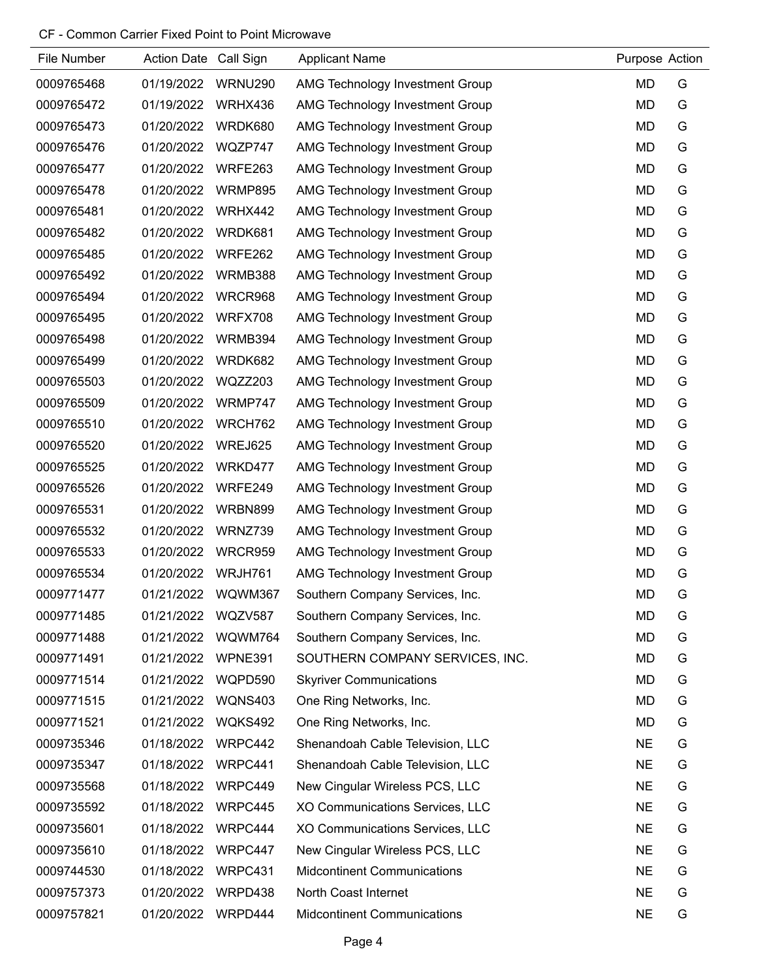| File Number | Action Date Call Sign |                | <b>Applicant Name</b>                  | Purpose Action |   |
|-------------|-----------------------|----------------|----------------------------------------|----------------|---|
| 0009765468  | 01/19/2022            | WRNU290        | AMG Technology Investment Group        | <b>MD</b>      | G |
| 0009765472  | 01/19/2022            | WRHX436        | AMG Technology Investment Group        | <b>MD</b>      | G |
| 0009765473  | 01/20/2022            | WRDK680        | AMG Technology Investment Group        | <b>MD</b>      | G |
| 0009765476  | 01/20/2022            | WQZP747        | AMG Technology Investment Group        | <b>MD</b>      | G |
| 0009765477  | 01/20/2022            | WRFE263        | AMG Technology Investment Group        | <b>MD</b>      | G |
| 0009765478  | 01/20/2022            | <b>WRMP895</b> | AMG Technology Investment Group        | <b>MD</b>      | G |
| 0009765481  | 01/20/2022            | WRHX442        | AMG Technology Investment Group        | <b>MD</b>      | G |
| 0009765482  | 01/20/2022            | WRDK681        | AMG Technology Investment Group        | <b>MD</b>      | G |
| 0009765485  | 01/20/2022            | WRFE262        | AMG Technology Investment Group        | <b>MD</b>      | G |
| 0009765492  | 01/20/2022            | WRMB388        | AMG Technology Investment Group        | <b>MD</b>      | G |
| 0009765494  | 01/20/2022            | WRCR968        | AMG Technology Investment Group        | <b>MD</b>      | G |
| 0009765495  | 01/20/2022            | WRFX708        | AMG Technology Investment Group        | <b>MD</b>      | G |
| 0009765498  | 01/20/2022            | WRMB394        | AMG Technology Investment Group        | <b>MD</b>      | G |
| 0009765499  | 01/20/2022            | WRDK682        | <b>AMG Technology Investment Group</b> | <b>MD</b>      | G |
| 0009765503  | 01/20/2022            | WQZZ203        | AMG Technology Investment Group        | MD             | G |
| 0009765509  | 01/20/2022            | WRMP747        | AMG Technology Investment Group        | <b>MD</b>      | G |
| 0009765510  | 01/20/2022            | WRCH762        | AMG Technology Investment Group        | MD             | G |
| 0009765520  | 01/20/2022            | WREJ625        | AMG Technology Investment Group        | <b>MD</b>      | G |
| 0009765525  | 01/20/2022            | WRKD477        | AMG Technology Investment Group        | <b>MD</b>      | G |
| 0009765526  | 01/20/2022            | WRFE249        | AMG Technology Investment Group        | <b>MD</b>      | G |
| 0009765531  | 01/20/2022            | WRBN899        | AMG Technology Investment Group        | <b>MD</b>      | G |
| 0009765532  | 01/20/2022            | WRNZ739        | AMG Technology Investment Group        | <b>MD</b>      | G |
| 0009765533  | 01/20/2022            | <b>WRCR959</b> | AMG Technology Investment Group        | <b>MD</b>      | G |
| 0009765534  | 01/20/2022            | WRJH761        | AMG Technology Investment Group        | <b>MD</b>      | G |
| 0009771477  | 01/21/2022            | WQWM367        | Southern Company Services, Inc.        | MD             | G |
| 0009771485  | 01/21/2022            | WQZV587        | Southern Company Services, Inc.        | MD             | G |
| 0009771488  | 01/21/2022            | WQWM764        | Southern Company Services, Inc.        | <b>MD</b>      | G |
| 0009771491  | 01/21/2022            | WPNE391        | SOUTHERN COMPANY SERVICES, INC.        | <b>MD</b>      | G |
| 0009771514  | 01/21/2022            | WQPD590        | <b>Skyriver Communications</b>         | <b>MD</b>      | G |
| 0009771515  | 01/21/2022            | <b>WQNS403</b> | One Ring Networks, Inc.                | MD             | G |
| 0009771521  | 01/21/2022            | WQKS492        | One Ring Networks, Inc.                | <b>MD</b>      | G |
| 0009735346  | 01/18/2022            | WRPC442        | Shenandoah Cable Television, LLC       | <b>NE</b>      | G |
| 0009735347  | 01/18/2022            | WRPC441        | Shenandoah Cable Television, LLC       | <b>NE</b>      | G |
| 0009735568  | 01/18/2022            | WRPC449        | New Cingular Wireless PCS, LLC         | <b>NE</b>      | G |
| 0009735592  | 01/18/2022            | WRPC445        | XO Communications Services, LLC        | <b>NE</b>      | G |
| 0009735601  | 01/18/2022            | WRPC444        | XO Communications Services, LLC        | <b>NE</b>      | G |
| 0009735610  | 01/18/2022            | WRPC447        | New Cingular Wireless PCS, LLC         | <b>NE</b>      | G |
| 0009744530  | 01/18/2022            | WRPC431        | <b>Midcontinent Communications</b>     | <b>NE</b>      | G |
| 0009757373  | 01/20/2022            | WRPD438        | North Coast Internet                   | <b>NE</b>      | G |
| 0009757821  | 01/20/2022            | WRPD444        | <b>Midcontinent Communications</b>     | <b>NE</b>      | G |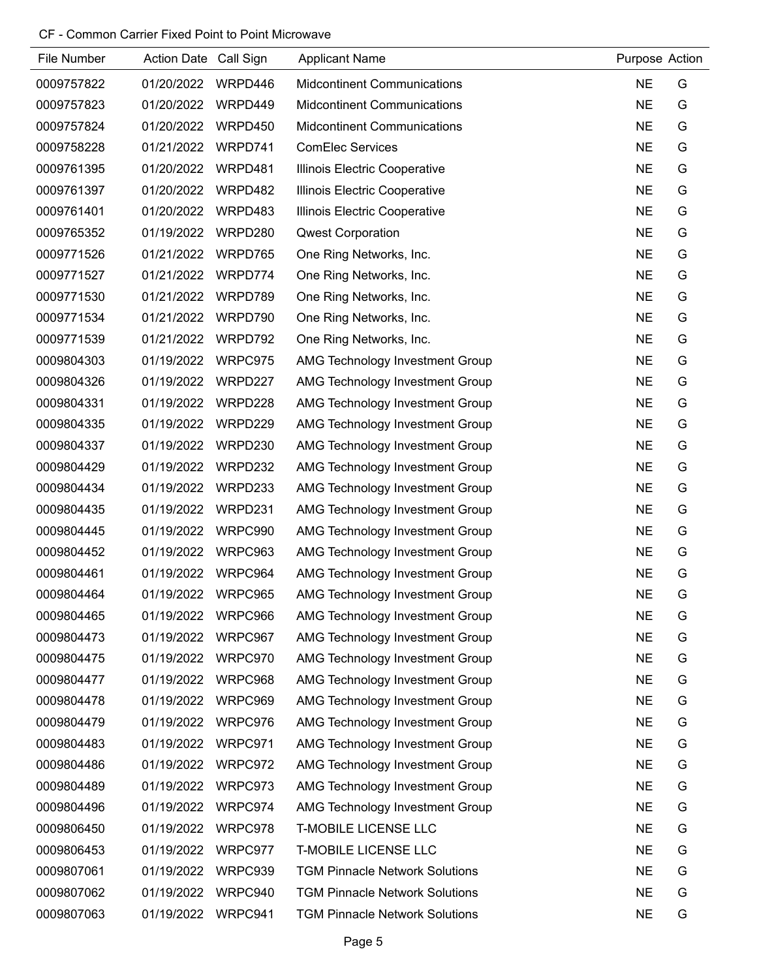| File Number | Action Date Call Sign |         | <b>Applicant Name</b>                  | Purpose Action |   |
|-------------|-----------------------|---------|----------------------------------------|----------------|---|
| 0009757822  | 01/20/2022            | WRPD446 | <b>Midcontinent Communications</b>     | <b>NE</b>      | G |
| 0009757823  | 01/20/2022            | WRPD449 | <b>Midcontinent Communications</b>     | <b>NE</b>      | G |
| 0009757824  | 01/20/2022            | WRPD450 | <b>Midcontinent Communications</b>     | <b>NE</b>      | G |
| 0009758228  | 01/21/2022            | WRPD741 | <b>ComElec Services</b>                | <b>NE</b>      | G |
| 0009761395  | 01/20/2022            | WRPD481 | Illinois Electric Cooperative          | <b>NE</b>      | G |
| 0009761397  | 01/20/2022            | WRPD482 | Illinois Electric Cooperative          | <b>NE</b>      | G |
| 0009761401  | 01/20/2022            | WRPD483 | Illinois Electric Cooperative          | <b>NE</b>      | G |
| 0009765352  | 01/19/2022            | WRPD280 | <b>Qwest Corporation</b>               | <b>NE</b>      | G |
| 0009771526  | 01/21/2022            | WRPD765 | One Ring Networks, Inc.                | <b>NE</b>      | G |
| 0009771527  | 01/21/2022            | WRPD774 | One Ring Networks, Inc.                | <b>NE</b>      | G |
| 0009771530  | 01/21/2022            | WRPD789 | One Ring Networks, Inc.                | <b>NE</b>      | G |
| 0009771534  | 01/21/2022            | WRPD790 | One Ring Networks, Inc.                | <b>NE</b>      | G |
| 0009771539  | 01/21/2022            | WRPD792 | One Ring Networks, Inc.                | <b>NE</b>      | G |
| 0009804303  | 01/19/2022            | WRPC975 | AMG Technology Investment Group        | <b>NE</b>      | G |
| 0009804326  | 01/19/2022            | WRPD227 | AMG Technology Investment Group        | <b>NE</b>      | G |
| 0009804331  | 01/19/2022            | WRPD228 | <b>AMG Technology Investment Group</b> | <b>NE</b>      | G |
| 0009804335  | 01/19/2022            | WRPD229 | AMG Technology Investment Group        | <b>NE</b>      | G |
| 0009804337  | 01/19/2022            | WRPD230 | AMG Technology Investment Group        | <b>NE</b>      | G |
| 0009804429  | 01/19/2022            | WRPD232 | AMG Technology Investment Group        | <b>NE</b>      | G |
| 0009804434  | 01/19/2022            | WRPD233 | AMG Technology Investment Group        | <b>NE</b>      | G |
| 0009804435  | 01/19/2022            | WRPD231 | AMG Technology Investment Group        | <b>NE</b>      | G |
| 0009804445  | 01/19/2022            | WRPC990 | AMG Technology Investment Group        | <b>NE</b>      | G |
| 0009804452  | 01/19/2022            | WRPC963 | AMG Technology Investment Group        | <b>NE</b>      | G |
| 0009804461  | 01/19/2022            | WRPC964 | AMG Technology Investment Group        | <b>NE</b>      | G |
| 0009804464  | 01/19/2022            | WRPC965 | AMG Technology Investment Group        | <b>NE</b>      | G |
| 0009804465  | 01/19/2022            | WRPC966 | AMG Technology Investment Group        | <b>NE</b>      | G |
| 0009804473  | 01/19/2022            | WRPC967 | AMG Technology Investment Group        | <b>NE</b>      | G |
| 0009804475  | 01/19/2022            | WRPC970 | AMG Technology Investment Group        | <b>NE</b>      | G |
| 0009804477  | 01/19/2022            | WRPC968 | AMG Technology Investment Group        | <b>NE</b>      | G |
| 0009804478  | 01/19/2022            | WRPC969 | AMG Technology Investment Group        | <b>NE</b>      | G |
| 0009804479  | 01/19/2022            | WRPC976 | AMG Technology Investment Group        | <b>NE</b>      | G |
| 0009804483  | 01/19/2022            | WRPC971 | AMG Technology Investment Group        | <b>NE</b>      | G |
| 0009804486  | 01/19/2022            | WRPC972 | AMG Technology Investment Group        | <b>NE</b>      | G |
| 0009804489  | 01/19/2022            | WRPC973 | AMG Technology Investment Group        | <b>NE</b>      | G |
| 0009804496  | 01/19/2022            | WRPC974 | AMG Technology Investment Group        | <b>NE</b>      | G |
| 0009806450  | 01/19/2022            | WRPC978 | <b>T-MOBILE LICENSE LLC</b>            | <b>NE</b>      | G |
| 0009806453  | 01/19/2022            | WRPC977 | <b>T-MOBILE LICENSE LLC</b>            | <b>NE</b>      | G |
| 0009807061  | 01/19/2022            | WRPC939 | <b>TGM Pinnacle Network Solutions</b>  | <b>NE</b>      | G |
| 0009807062  | 01/19/2022            | WRPC940 | <b>TGM Pinnacle Network Solutions</b>  | <b>NE</b>      | G |
| 0009807063  | 01/19/2022            | WRPC941 | <b>TGM Pinnacle Network Solutions</b>  | <b>NE</b>      | G |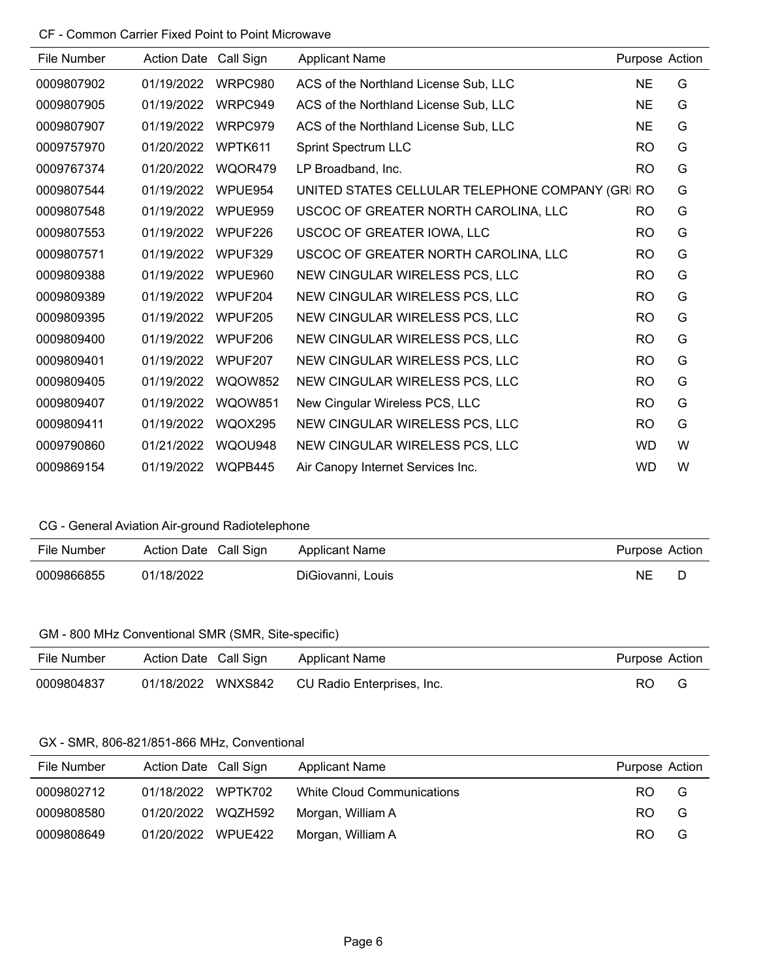| File Number | <b>Action Date</b> | Call Sign      | <b>Applicant Name</b>                            | Purpose Action |   |
|-------------|--------------------|----------------|--------------------------------------------------|----------------|---|
| 0009807902  | 01/19/2022         | WRPC980        | ACS of the Northland License Sub, LLC            | NE             | G |
| 0009807905  | 01/19/2022         | WRPC949        | ACS of the Northland License Sub, LLC            | <b>NE</b>      | G |
| 0009807907  | 01/19/2022         | WRPC979        | ACS of the Northland License Sub, LLC            | <b>NE</b>      | G |
| 0009757970  | 01/20/2022         | WPTK611        | <b>Sprint Spectrum LLC</b>                       | <b>RO</b>      | G |
| 0009767374  | 01/20/2022         | WQOR479        | LP Broadband, Inc.                               | <b>RO</b>      | G |
| 0009807544  | 01/19/2022         | WPUE954        | UNITED STATES CELLULAR TELEPHONE COMPANY (GRI RO |                | G |
| 0009807548  | 01/19/2022         | WPUE959        | USCOC OF GREATER NORTH CAROLINA, LLC             | <b>RO</b>      | G |
| 0009807553  | 01/19/2022         | WPUF226        | USCOC OF GREATER IOWA, LLC                       | <b>RO</b>      | G |
| 0009807571  | 01/19/2022         | WPUF329        | USCOC OF GREATER NORTH CAROLINA, LLC             | <b>RO</b>      | G |
| 0009809388  | 01/19/2022         | WPUE960        | NEW CINGULAR WIRELESS PCS, LLC                   | <b>RO</b>      | G |
| 0009809389  | 01/19/2022         | WPUF204        | NEW CINGULAR WIRELESS PCS, LLC                   | <b>RO</b>      | G |
| 0009809395  | 01/19/2022         | WPUF205        | NEW CINGULAR WIRELESS PCS, LLC                   | <b>RO</b>      | G |
| 0009809400  | 01/19/2022         | WPUF206        | NEW CINGULAR WIRELESS PCS, LLC                   | <b>RO</b>      | G |
| 0009809401  | 01/19/2022         | WPUF207        | NEW CINGULAR WIRELESS PCS, LLC                   | <b>RO</b>      | G |
| 0009809405  | 01/19/2022         | <b>WQOW852</b> | NEW CINGULAR WIRELESS PCS, LLC                   | <b>RO</b>      | G |
| 0009809407  | 01/19/2022         | <b>WQOW851</b> | New Cingular Wireless PCS, LLC                   | <b>RO</b>      | G |
| 0009809411  | 01/19/2022         | <b>WQOX295</b> | NEW CINGULAR WIRELESS PCS, LLC                   | <b>RO</b>      | G |
| 0009790860  | 01/21/2022         | WQOU948        | NEW CINGULAR WIRELESS PCS, LLC                   | <b>WD</b>      | W |
| 0009869154  | 01/19/2022         | WQPB445        | Air Canopy Internet Services Inc.                | <b>WD</b>      | W |

# CG - General Aviation Air-ground Radiotelephone

| File Number | Action Date Call Sign | Applicant Name    | Purpose Action |  |
|-------------|-----------------------|-------------------|----------------|--|
| 0009866855  | 01/18/2022            | DiGiovanni, Louis | NΕ             |  |

#### GM - 800 MHz Conventional SMR (SMR, Site-specific)

| File Number |  | Action Date Call Sign Applicant Name          | Purpose Action |   |
|-------------|--|-----------------------------------------------|----------------|---|
| 0009804837  |  | 01/18/2022 WNXS842 CU Radio Enterprises, Inc. | RO.            | G |

# GX - SMR, 806-821/851-866 MHz, Conventional

| File Number | Action Date Call Sign | <b>Applicant Name</b>             | Purpose Action |    |
|-------------|-----------------------|-----------------------------------|----------------|----|
| 0009802712  | 01/18/2022 WPTK702    | <b>White Cloud Communications</b> | RO.            | G. |
| 0009808580  | 01/20/2022 WQZH592    | Morgan, William A                 | RO.            | G  |
| 0009808649  | 01/20/2022 WPUE422    | Morgan, William A                 | RO.            | G  |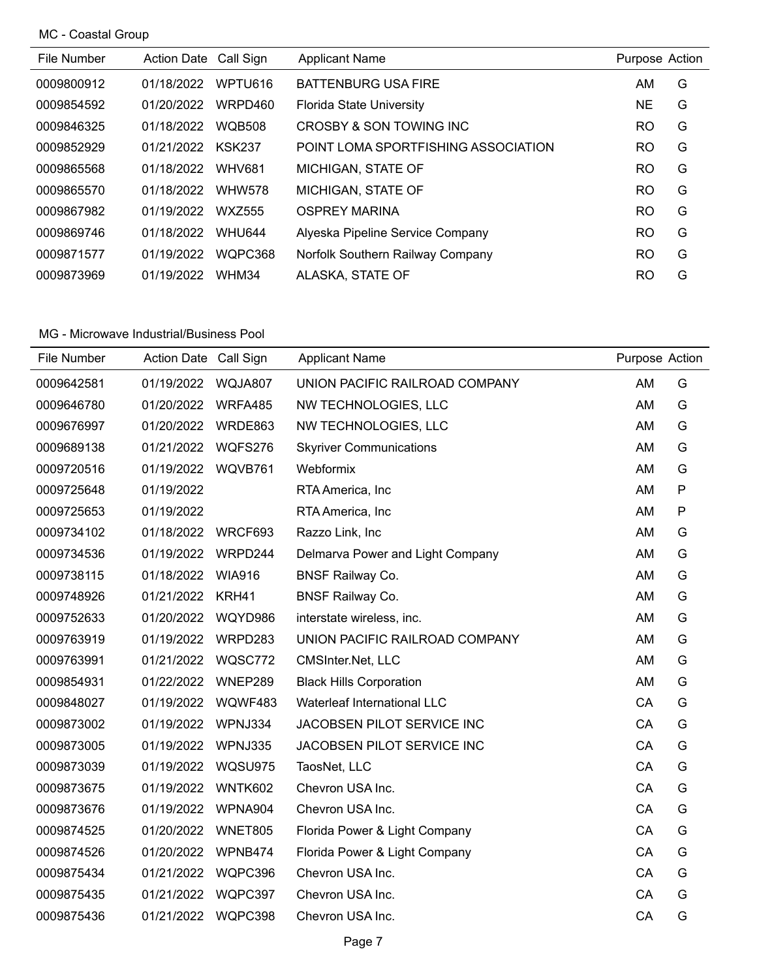MC - Coastal Group

| File Number | Action Date Call Sign |               | <b>Applicant Name</b>               | Purpose Action |   |
|-------------|-----------------------|---------------|-------------------------------------|----------------|---|
| 0009800912  | 01/18/2022            | WPTU616       | <b>BATTENBURG USA FIRE</b>          | AM.            | G |
| 0009854592  | 01/20/2022            | WRPD460       | <b>Florida State University</b>     | NE.            | G |
| 0009846325  | 01/18/2022            | <b>WQB508</b> | CROSBY & SON TOWING INC             | RO.            | G |
| 0009852929  | 01/21/2022            | <b>KSK237</b> | POINT LOMA SPORTFISHING ASSOCIATION | <b>RO</b>      | G |
| 0009865568  | 01/18/2022            | <b>WHV681</b> | MICHIGAN, STATE OF                  | RO.            | G |
| 0009865570  | 01/18/2022            | <b>WHW578</b> | MICHIGAN, STATE OF                  | RO.            | G |
| 0009867982  | 01/19/2022            | WXZ555        | <b>OSPREY MARINA</b>                | <b>RO</b>      | G |
| 0009869746  | 01/18/2022            | <b>WHU644</b> | Alyeska Pipeline Service Company    | <b>RO</b>      | G |
| 0009871577  | 01/19/2022            | WQPC368       | Norfolk Southern Railway Company    | RO.            | G |
| 0009873969  | 01/19/2022            | WHM34         | ALASKA, STATE OF                    | RO             | G |

| File Number | <b>Action Date</b> | Call Sign      | <b>Applicant Name</b>            | Purpose Action |              |
|-------------|--------------------|----------------|----------------------------------|----------------|--------------|
| 0009642581  | 01/19/2022         | WQJA807        | UNION PACIFIC RAILROAD COMPANY   | AM             | G            |
| 0009646780  | 01/20/2022         | WRFA485        | NW TECHNOLOGIES, LLC             | AM             | G            |
| 0009676997  | 01/20/2022         | WRDE863        | NW TECHNOLOGIES, LLC             | AM             | G            |
| 0009689138  | 01/21/2022         | WQFS276        | <b>Skyriver Communications</b>   | AM             | G            |
| 0009720516  | 01/19/2022         | WQVB761        | Webformix                        | AM             | G            |
| 0009725648  | 01/19/2022         |                | RTA America, Inc                 | AM             | $\mathsf{P}$ |
| 0009725653  | 01/19/2022         |                | RTA America, Inc.                | AM             | P            |
| 0009734102  | 01/18/2022         | WRCF693        | Razzo Link, Inc                  | AM             | G            |
| 0009734536  | 01/19/2022         | WRPD244        | Delmarva Power and Light Company | AM             | G            |
| 0009738115  | 01/18/2022         | <b>WIA916</b>  | <b>BNSF Railway Co.</b>          | AM             | G            |
| 0009748926  | 01/21/2022         | KRH41          | <b>BNSF Railway Co.</b>          | AM             | G            |
| 0009752633  | 01/20/2022         | WQYD986        | interstate wireless, inc.        | AM             | G            |
| 0009763919  | 01/19/2022         | WRPD283        | UNION PACIFIC RAILROAD COMPANY   | AM             | G            |
| 0009763991  | 01/21/2022         | WQSC772        | CMSInter.Net, LLC                | AM             | G            |
| 0009854931  | 01/22/2022         | WNEP289        | <b>Black Hills Corporation</b>   | AM             | G            |
| 0009848027  | 01/19/2022         | WQWF483        | Waterleaf International LLC      | CA             | G            |
| 0009873002  | 01/19/2022         | WPNJ334        | JACOBSEN PILOT SERVICE INC       | CA             | G            |
| 0009873005  | 01/19/2022         | WPNJ335        | JACOBSEN PILOT SERVICE INC       | CA             | G            |
| 0009873039  | 01/19/2022         | WQSU975        | TaosNet, LLC                     | CA             | G            |
| 0009873675  | 01/19/2022         | WNTK602        | Chevron USA Inc.                 | CA             | G            |
| 0009873676  | 01/19/2022         | WPNA904        | Chevron USA Inc.                 | CA             | G            |
| 0009874525  | 01/20/2022         | <b>WNET805</b> | Florida Power & Light Company    | CA             | G            |
| 0009874526  | 01/20/2022         | WPNB474        | Florida Power & Light Company    | CA             | G            |
| 0009875434  | 01/21/2022         | WQPC396        | Chevron USA Inc.                 | CA             | G            |
| 0009875435  | 01/21/2022         | WQPC397        | Chevron USA Inc.                 | CA             | G            |
| 0009875436  | 01/21/2022         | WQPC398        | Chevron USA Inc.                 | CA             | G            |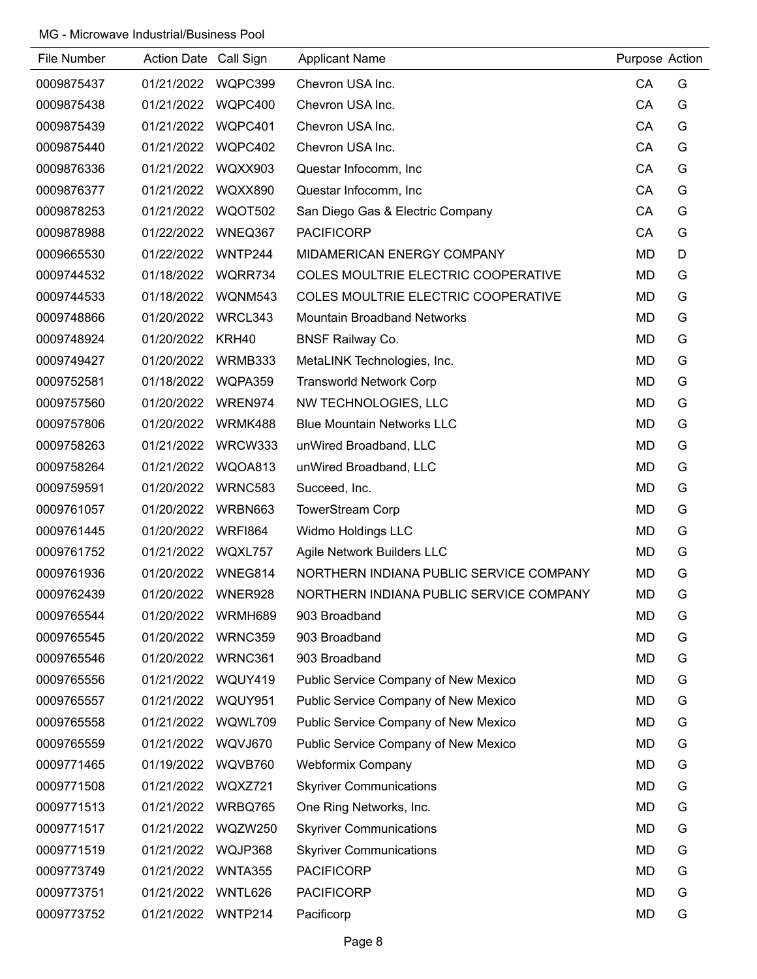| File Number | Action Date Call Sign |                | <b>Applicant Name</b>                      | Purpose Action |   |
|-------------|-----------------------|----------------|--------------------------------------------|----------------|---|
| 0009875437  | 01/21/2022            | WQPC399        | Chevron USA Inc.                           | CA             | G |
| 0009875438  | 01/21/2022            | WQPC400        | Chevron USA Inc.                           | CA             | G |
| 0009875439  | 01/21/2022            | WQPC401        | Chevron USA Inc.                           | CA             | G |
| 0009875440  | 01/21/2022            | WQPC402        | Chevron USA Inc.                           | CA             | G |
| 0009876336  | 01/21/2022            | WQXX903        | Questar Infocomm, Inc                      | CA             | G |
| 0009876377  | 01/21/2022            | <b>WQXX890</b> | Questar Infocomm, Inc                      | CA             | G |
| 0009878253  | 01/21/2022            | <b>WQOT502</b> | San Diego Gas & Electric Company           | CA             | G |
| 0009878988  | 01/22/2022            | WNEQ367        | <b>PACIFICORP</b>                          | CA             | G |
| 0009665530  | 01/22/2022            | WNTP244        | MIDAMERICAN ENERGY COMPANY                 | <b>MD</b>      | D |
| 0009744532  | 01/18/2022            | WQRR734        | <b>COLES MOULTRIE ELECTRIC COOPERATIVE</b> | MD             | G |
| 0009744533  | 01/18/2022            | WQNM543        | COLES MOULTRIE ELECTRIC COOPERATIVE        | <b>MD</b>      | G |
| 0009748866  | 01/20/2022            | WRCL343        | <b>Mountain Broadband Networks</b>         | <b>MD</b>      | G |
| 0009748924  | 01/20/2022            | KRH40          | <b>BNSF Railway Co.</b>                    | <b>MD</b>      | G |
| 0009749427  | 01/20/2022            | WRMB333        | MetaLINK Technologies, Inc.                | <b>MD</b>      | G |
| 0009752581  | 01/18/2022            | WQPA359        | <b>Transworld Network Corp</b>             | <b>MD</b>      | G |
| 0009757560  | 01/20/2022            | WREN974        | NW TECHNOLOGIES, LLC                       | <b>MD</b>      | G |
| 0009757806  | 01/20/2022            | WRMK488        | <b>Blue Mountain Networks LLC</b>          | <b>MD</b>      | G |
| 0009758263  | 01/21/2022            | WRCW333        | unWired Broadband, LLC                     | <b>MD</b>      | G |
| 0009758264  | 01/21/2022            | WQOA813        | unWired Broadband, LLC                     | MD             | G |
| 0009759591  | 01/20/2022            | <b>WRNC583</b> | Succeed, Inc.                              | <b>MD</b>      | G |
| 0009761057  | 01/20/2022            | WRBN663        | <b>TowerStream Corp</b>                    | <b>MD</b>      | G |
| 0009761445  | 01/20/2022            | <b>WRFI864</b> | Widmo Holdings LLC                         | <b>MD</b>      | G |
| 0009761752  | 01/21/2022            | WQXL757        | Agile Network Builders LLC                 | <b>MD</b>      | G |
| 0009761936  | 01/20/2022            | WNEG814        | NORTHERN INDIANA PUBLIC SERVICE COMPANY    | <b>MD</b>      | G |
| 0009762439  | 01/20/2022            | WNER928        | NORTHERN INDIANA PUBLIC SERVICE COMPANY    | <b>MD</b>      | G |
| 0009765544  | 01/20/2022            | WRMH689        | 903 Broadband                              | <b>MD</b>      | G |
| 0009765545  | 01/20/2022            | WRNC359        | 903 Broadband                              | <b>MD</b>      | G |
| 0009765546  | 01/20/2022            | WRNC361        | 903 Broadband                              | <b>MD</b>      | G |
| 0009765556  | 01/21/2022            | WQUY419        | Public Service Company of New Mexico       | MD             | G |
| 0009765557  | 01/21/2022            | WQUY951        | Public Service Company of New Mexico       | MD             | G |
| 0009765558  | 01/21/2022            | WQWL709        | Public Service Company of New Mexico       | <b>MD</b>      | G |
| 0009765559  | 01/21/2022            | WQVJ670        | Public Service Company of New Mexico       | <b>MD</b>      | G |
| 0009771465  | 01/19/2022            | WQVB760        | <b>Webformix Company</b>                   | <b>MD</b>      | G |
| 0009771508  | 01/21/2022            | WQXZ721        | <b>Skyriver Communications</b>             | <b>MD</b>      | G |
| 0009771513  | 01/21/2022            | WRBQ765        | One Ring Networks, Inc.                    | <b>MD</b>      | G |
| 0009771517  | 01/21/2022            | WQZW250        | <b>Skyriver Communications</b>             | <b>MD</b>      | G |
| 0009771519  | 01/21/2022            | WQJP368        | <b>Skyriver Communications</b>             | <b>MD</b>      | G |
| 0009773749  | 01/21/2022            | <b>WNTA355</b> | <b>PACIFICORP</b>                          | <b>MD</b>      | G |
| 0009773751  | 01/21/2022            | WNTL626        | <b>PACIFICORP</b>                          | <b>MD</b>      | G |
| 0009773752  | 01/21/2022            | WNTP214        | Pacificorp                                 | <b>MD</b>      | G |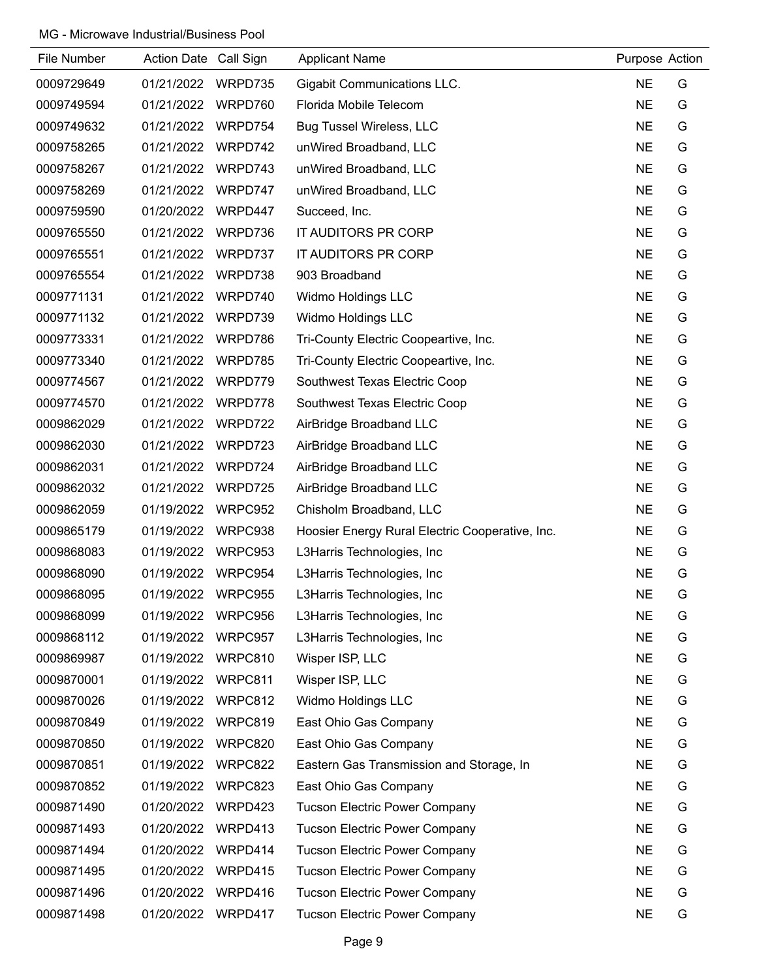| File Number | Action Date Call Sign |         | <b>Applicant Name</b>                           | Purpose Action |   |
|-------------|-----------------------|---------|-------------------------------------------------|----------------|---|
| 0009729649  | 01/21/2022            | WRPD735 | <b>Gigabit Communications LLC.</b>              | <b>NE</b>      | G |
| 0009749594  | 01/21/2022            | WRPD760 | Florida Mobile Telecom                          | <b>NE</b>      | G |
| 0009749632  | 01/21/2022            | WRPD754 | <b>Bug Tussel Wireless, LLC</b>                 | <b>NE</b>      | G |
| 0009758265  | 01/21/2022            | WRPD742 | unWired Broadband, LLC                          | <b>NE</b>      | G |
| 0009758267  | 01/21/2022            | WRPD743 | unWired Broadband, LLC                          | <b>NE</b>      | G |
| 0009758269  | 01/21/2022            | WRPD747 | unWired Broadband, LLC                          | <b>NE</b>      | G |
| 0009759590  | 01/20/2022            | WRPD447 | Succeed, Inc.                                   | <b>NE</b>      | G |
| 0009765550  | 01/21/2022            | WRPD736 | IT AUDITORS PR CORP                             | <b>NE</b>      | G |
| 0009765551  | 01/21/2022            | WRPD737 | IT AUDITORS PR CORP                             | <b>NE</b>      | G |
| 0009765554  | 01/21/2022            | WRPD738 | 903 Broadband                                   | <b>NE</b>      | G |
| 0009771131  | 01/21/2022            | WRPD740 | Widmo Holdings LLC                              | <b>NE</b>      | G |
| 0009771132  | 01/21/2022            | WRPD739 | Widmo Holdings LLC                              | <b>NE</b>      | G |
| 0009773331  | 01/21/2022            | WRPD786 | Tri-County Electric Coopeartive, Inc.           | <b>NE</b>      | G |
| 0009773340  | 01/21/2022            | WRPD785 | Tri-County Electric Coopeartive, Inc.           | <b>NE</b>      | G |
| 0009774567  | 01/21/2022            | WRPD779 | Southwest Texas Electric Coop                   | <b>NE</b>      | G |
| 0009774570  | 01/21/2022            | WRPD778 | Southwest Texas Electric Coop                   | <b>NE</b>      | G |
| 0009862029  | 01/21/2022            | WRPD722 | AirBridge Broadband LLC                         | <b>NE</b>      | G |
| 0009862030  | 01/21/2022            | WRPD723 | AirBridge Broadband LLC                         | <b>NE</b>      | G |
| 0009862031  | 01/21/2022            | WRPD724 | AirBridge Broadband LLC                         | <b>NE</b>      | G |
| 0009862032  | 01/21/2022            | WRPD725 | AirBridge Broadband LLC                         | <b>NE</b>      | G |
| 0009862059  | 01/19/2022            | WRPC952 | Chisholm Broadband, LLC                         | <b>NE</b>      | G |
| 0009865179  | 01/19/2022            | WRPC938 | Hoosier Energy Rural Electric Cooperative, Inc. | <b>NE</b>      | G |
| 0009868083  | 01/19/2022            | WRPC953 | L3Harris Technologies, Inc                      | <b>NE</b>      | G |
| 0009868090  | 01/19/2022            | WRPC954 | L3Harris Technologies, Inc                      | <b>NE</b>      | G |
| 0009868095  | 01/19/2022            | WRPC955 | L3Harris Technologies, Inc                      | <b>NE</b>      | G |
| 0009868099  | 01/19/2022            | WRPC956 | L3Harris Technologies, Inc                      | <b>NE</b>      | G |
| 0009868112  | 01/19/2022            | WRPC957 | L3Harris Technologies, Inc                      | <b>NE</b>      | G |
| 0009869987  | 01/19/2022            | WRPC810 | Wisper ISP, LLC                                 | <b>NE</b>      | G |
| 0009870001  | 01/19/2022            | WRPC811 | Wisper ISP, LLC                                 | <b>NE</b>      | G |
| 0009870026  | 01/19/2022            | WRPC812 | Widmo Holdings LLC                              | <b>NE</b>      | G |
| 0009870849  | 01/19/2022            | WRPC819 | East Ohio Gas Company                           | <b>NE</b>      | G |
| 0009870850  | 01/19/2022            | WRPC820 | East Ohio Gas Company                           | <b>NE</b>      | G |
| 0009870851  | 01/19/2022            | WRPC822 | Eastern Gas Transmission and Storage, In        | <b>NE</b>      | G |
| 0009870852  | 01/19/2022            | WRPC823 | East Ohio Gas Company                           | <b>NE</b>      | G |
| 0009871490  | 01/20/2022            | WRPD423 | <b>Tucson Electric Power Company</b>            | <b>NE</b>      | G |
| 0009871493  | 01/20/2022            | WRPD413 | <b>Tucson Electric Power Company</b>            | <b>NE</b>      | G |
| 0009871494  | 01/20/2022            | WRPD414 | <b>Tucson Electric Power Company</b>            | <b>NE</b>      | G |
| 0009871495  | 01/20/2022            | WRPD415 | <b>Tucson Electric Power Company</b>            | <b>NE</b>      | G |
| 0009871496  | 01/20/2022            | WRPD416 | <b>Tucson Electric Power Company</b>            | <b>NE</b>      | G |
| 0009871498  | 01/20/2022            | WRPD417 | <b>Tucson Electric Power Company</b>            | <b>NE</b>      | G |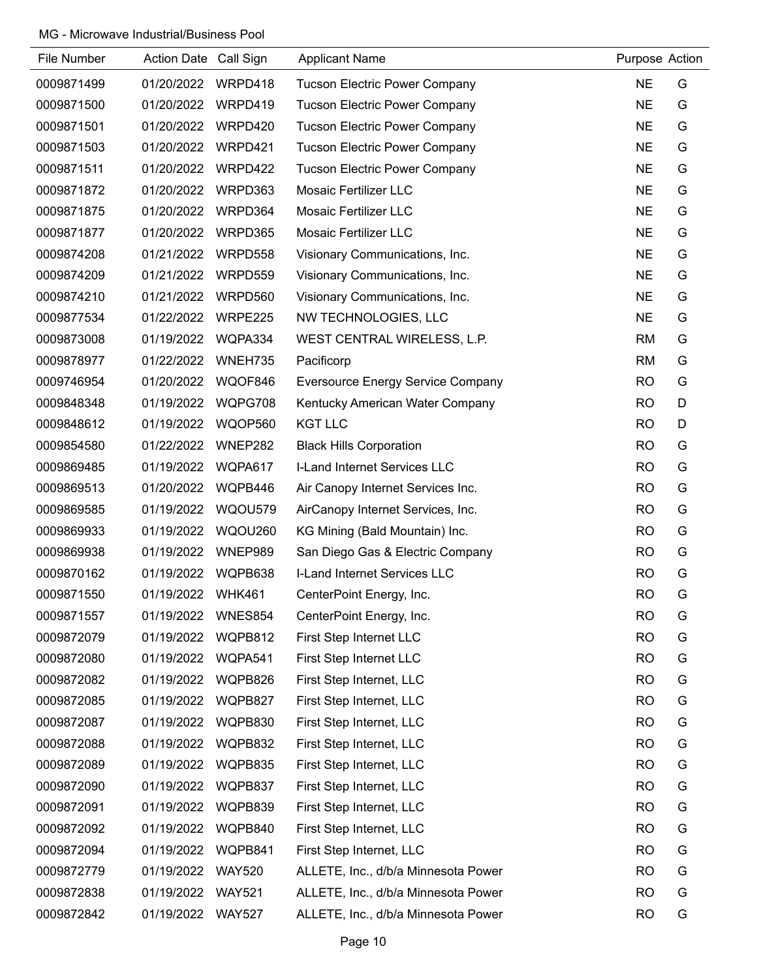| File Number | Action Date Call Sign |                | <b>Applicant Name</b>                | Purpose Action |   |
|-------------|-----------------------|----------------|--------------------------------------|----------------|---|
| 0009871499  | 01/20/2022            | WRPD418        | <b>Tucson Electric Power Company</b> | <b>NE</b>      | G |
| 0009871500  | 01/20/2022            | WRPD419        | <b>Tucson Electric Power Company</b> | <b>NE</b>      | G |
| 0009871501  | 01/20/2022            | WRPD420        | <b>Tucson Electric Power Company</b> | <b>NE</b>      | G |
| 0009871503  | 01/20/2022            | WRPD421        | <b>Tucson Electric Power Company</b> | <b>NE</b>      | G |
| 0009871511  | 01/20/2022            | WRPD422        | <b>Tucson Electric Power Company</b> | <b>NE</b>      | G |
| 0009871872  | 01/20/2022            | WRPD363        | <b>Mosaic Fertilizer LLC</b>         | <b>NE</b>      | G |
| 0009871875  | 01/20/2022            | WRPD364        | <b>Mosaic Fertilizer LLC</b>         | <b>NE</b>      | G |
| 0009871877  | 01/20/2022            | WRPD365        | <b>Mosaic Fertilizer LLC</b>         | <b>NE</b>      | G |
| 0009874208  | 01/21/2022            | WRPD558        | Visionary Communications, Inc.       | <b>NE</b>      | G |
| 0009874209  | 01/21/2022            | WRPD559        | Visionary Communications, Inc.       | <b>NE</b>      | G |
| 0009874210  | 01/21/2022            | WRPD560        | Visionary Communications, Inc.       | <b>NE</b>      | G |
| 0009877534  | 01/22/2022            | WRPE225        | NW TECHNOLOGIES, LLC                 | <b>NE</b>      | G |
| 0009873008  | 01/19/2022            | WQPA334        | WEST CENTRAL WIRELESS, L.P.          | <b>RM</b>      | G |
| 0009878977  | 01/22/2022            | WNEH735        | Pacificorp                           | <b>RM</b>      | G |
| 0009746954  | 01/20/2022            | WQOF846        | Eversource Energy Service Company    | <b>RO</b>      | G |
| 0009848348  | 01/19/2022            | WQPG708        | Kentucky American Water Company      | <b>RO</b>      | D |
| 0009848612  | 01/19/2022            | WQOP560        | <b>KGT LLC</b>                       | <b>RO</b>      | D |
| 0009854580  | 01/22/2022            | WNEP282        | <b>Black Hills Corporation</b>       | <b>RO</b>      | G |
| 0009869485  | 01/19/2022            | WQPA617        | I-Land Internet Services LLC         | <b>RO</b>      | G |
| 0009869513  | 01/20/2022            | WQPB446        | Air Canopy Internet Services Inc.    | <b>RO</b>      | G |
| 0009869585  | 01/19/2022            | WQOU579        | AirCanopy Internet Services, Inc.    | <b>RO</b>      | G |
| 0009869933  | 01/19/2022            | WQOU260        | KG Mining (Bald Mountain) Inc.       | <b>RO</b>      | G |
| 0009869938  | 01/19/2022            | WNEP989        | San Diego Gas & Electric Company     | <b>RO</b>      | G |
| 0009870162  | 01/19/2022            | WQPB638        | I-Land Internet Services LLC         | <b>RO</b>      | G |
| 0009871550  | 01/19/2022            | <b>WHK461</b>  | CenterPoint Energy, Inc.             | <b>RO</b>      | G |
| 0009871557  | 01/19/2022            | <b>WNES854</b> | CenterPoint Energy, Inc.             | <b>RO</b>      | G |
| 0009872079  | 01/19/2022            | WQPB812        | First Step Internet LLC              | <b>RO</b>      | G |
| 0009872080  | 01/19/2022            | WQPA541        | First Step Internet LLC              | <b>RO</b>      | G |
| 0009872082  | 01/19/2022            | WQPB826        | First Step Internet, LLC             | <b>RO</b>      | G |
| 0009872085  | 01/19/2022            | WQPB827        | First Step Internet, LLC             | <b>RO</b>      | G |
| 0009872087  | 01/19/2022            | WQPB830        | First Step Internet, LLC             | <b>RO</b>      | G |
| 0009872088  | 01/19/2022            | WQPB832        | First Step Internet, LLC             | <b>RO</b>      | G |
| 0009872089  | 01/19/2022            | WQPB835        | First Step Internet, LLC             | <b>RO</b>      | G |
| 0009872090  | 01/19/2022            | WQPB837        | First Step Internet, LLC             | <b>RO</b>      | G |
| 0009872091  | 01/19/2022            | WQPB839        | First Step Internet, LLC             | <b>RO</b>      | G |
| 0009872092  | 01/19/2022            | WQPB840        | First Step Internet, LLC             | <b>RO</b>      | G |
| 0009872094  | 01/19/2022            | WQPB841        | First Step Internet, LLC             | <b>RO</b>      | G |
| 0009872779  | 01/19/2022            | <b>WAY520</b>  | ALLETE, Inc., d/b/a Minnesota Power  | <b>RO</b>      | G |
| 0009872838  | 01/19/2022            | <b>WAY521</b>  | ALLETE, Inc., d/b/a Minnesota Power  | <b>RO</b>      | G |
| 0009872842  | 01/19/2022            | <b>WAY527</b>  | ALLETE, Inc., d/b/a Minnesota Power  | <b>RO</b>      | G |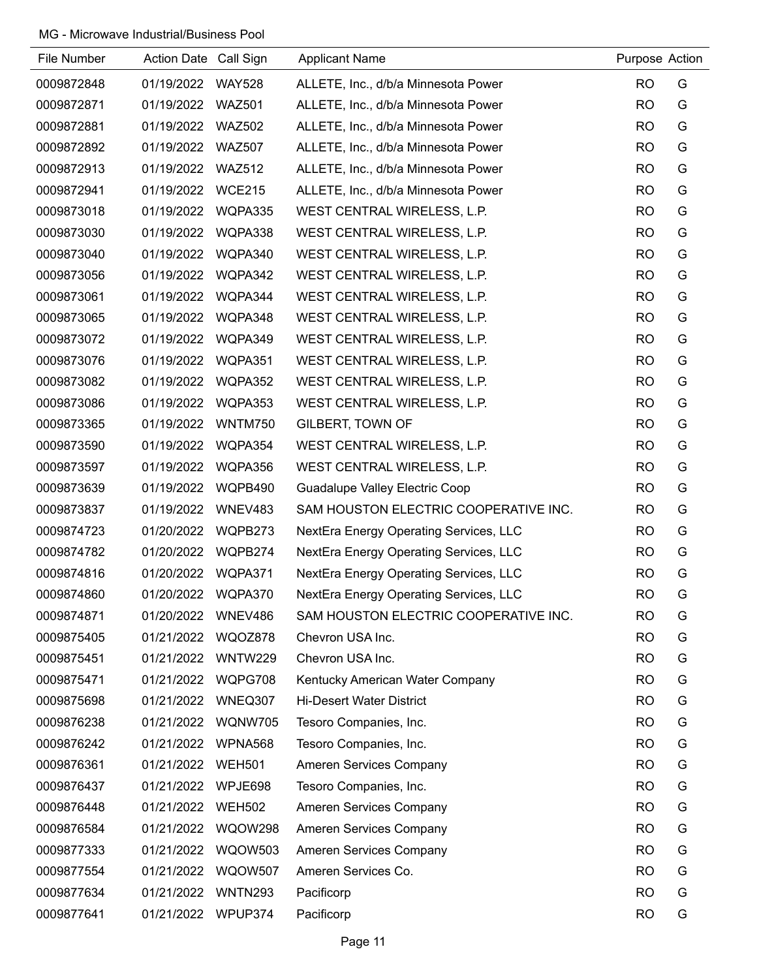| File Number | Action Date Call Sign |                | <b>Applicant Name</b>                  | Purpose Action |   |
|-------------|-----------------------|----------------|----------------------------------------|----------------|---|
| 0009872848  | 01/19/2022            | <b>WAY528</b>  | ALLETE, Inc., d/b/a Minnesota Power    | <b>RO</b>      | G |
| 0009872871  | 01/19/2022            | <b>WAZ501</b>  | ALLETE, Inc., d/b/a Minnesota Power    | <b>RO</b>      | G |
| 0009872881  | 01/19/2022 WAZ502     |                | ALLETE, Inc., d/b/a Minnesota Power    | <b>RO</b>      | G |
| 0009872892  | 01/19/2022            | <b>WAZ507</b>  | ALLETE, Inc., d/b/a Minnesota Power    | <b>RO</b>      | G |
| 0009872913  | 01/19/2022            | <b>WAZ512</b>  | ALLETE, Inc., d/b/a Minnesota Power    | <b>RO</b>      | G |
| 0009872941  | 01/19/2022            | <b>WCE215</b>  | ALLETE, Inc., d/b/a Minnesota Power    | <b>RO</b>      | G |
| 0009873018  | 01/19/2022            | WQPA335        | WEST CENTRAL WIRELESS, L.P.            | <b>RO</b>      | G |
| 0009873030  | 01/19/2022            | WQPA338        | WEST CENTRAL WIRELESS, L.P.            | <b>RO</b>      | G |
| 0009873040  | 01/19/2022            | WQPA340        | WEST CENTRAL WIRELESS, L.P.            | <b>RO</b>      | G |
| 0009873056  | 01/19/2022            | WQPA342        | WEST CENTRAL WIRELESS, L.P.            | <b>RO</b>      | G |
| 0009873061  | 01/19/2022            | WQPA344        | WEST CENTRAL WIRELESS, L.P.            | <b>RO</b>      | G |
| 0009873065  | 01/19/2022            | WQPA348        | WEST CENTRAL WIRELESS, L.P.            | <b>RO</b>      | G |
| 0009873072  | 01/19/2022            | WQPA349        | WEST CENTRAL WIRELESS, L.P.            | <b>RO</b>      | G |
| 0009873076  | 01/19/2022            | WQPA351        | WEST CENTRAL WIRELESS, L.P.            | <b>RO</b>      | G |
| 0009873082  | 01/19/2022            | WQPA352        | WEST CENTRAL WIRELESS, L.P.            | <b>RO</b>      | G |
| 0009873086  | 01/19/2022            | WQPA353        | WEST CENTRAL WIRELESS, L.P.            | <b>RO</b>      | G |
| 0009873365  | 01/19/2022            | <b>WNTM750</b> | GILBERT, TOWN OF                       | <b>RO</b>      | G |
| 0009873590  | 01/19/2022            | WQPA354        | WEST CENTRAL WIRELESS, L.P.            | <b>RO</b>      | G |
| 0009873597  | 01/19/2022            | WQPA356        | WEST CENTRAL WIRELESS, L.P.            | <b>RO</b>      | G |
| 0009873639  | 01/19/2022            | WQPB490        | Guadalupe Valley Electric Coop         | <b>RO</b>      | G |
| 0009873837  | 01/19/2022            | WNEV483        | SAM HOUSTON ELECTRIC COOPERATIVE INC.  | <b>RO</b>      | G |
| 0009874723  | 01/20/2022            | WQPB273        | NextEra Energy Operating Services, LLC | <b>RO</b>      | G |
| 0009874782  | 01/20/2022            | WQPB274        | NextEra Energy Operating Services, LLC | <b>RO</b>      | G |
| 0009874816  | 01/20/2022            | WQPA371        | NextEra Energy Operating Services, LLC | <b>RO</b>      | G |
| 0009874860  | 01/20/2022            | WQPA370        | NextEra Energy Operating Services, LLC | <b>RO</b>      | G |
| 0009874871  | 01/20/2022            | WNEV486        | SAM HOUSTON ELECTRIC COOPERATIVE INC.  | <b>RO</b>      | G |
| 0009875405  | 01/21/2022            | WQOZ878        | Chevron USA Inc.                       | <b>RO</b>      | G |
| 0009875451  | 01/21/2022            | WNTW229        | Chevron USA Inc.                       | <b>RO</b>      | G |
| 0009875471  | 01/21/2022            | WQPG708        | Kentucky American Water Company        | <b>RO</b>      | G |
| 0009875698  | 01/21/2022            | WNEQ307        | <b>Hi-Desert Water District</b>        | <b>RO</b>      | G |
| 0009876238  | 01/21/2022            | WQNW705        | Tesoro Companies, Inc.                 | <b>RO</b>      | G |
| 0009876242  | 01/21/2022            | WPNA568        | Tesoro Companies, Inc.                 | <b>RO</b>      | G |
| 0009876361  | 01/21/2022            | <b>WEH501</b>  | Ameren Services Company                | <b>RO</b>      | G |
| 0009876437  | 01/21/2022            | WPJE698        | Tesoro Companies, Inc.                 | <b>RO</b>      | G |
| 0009876448  | 01/21/2022            | <b>WEH502</b>  | Ameren Services Company                | <b>RO</b>      | G |
| 0009876584  | 01/21/2022            | <b>WQOW298</b> | Ameren Services Company                | <b>RO</b>      | G |
| 0009877333  | 01/21/2022            | <b>WQOW503</b> | Ameren Services Company                | <b>RO</b>      | G |
| 0009877554  | 01/21/2022            | <b>WQOW507</b> | Ameren Services Co.                    | <b>RO</b>      | G |
| 0009877634  | 01/21/2022            | <b>WNTN293</b> | Pacificorp                             | <b>RO</b>      | G |
| 0009877641  | 01/21/2022            | WPUP374        | Pacificorp                             | <b>RO</b>      | G |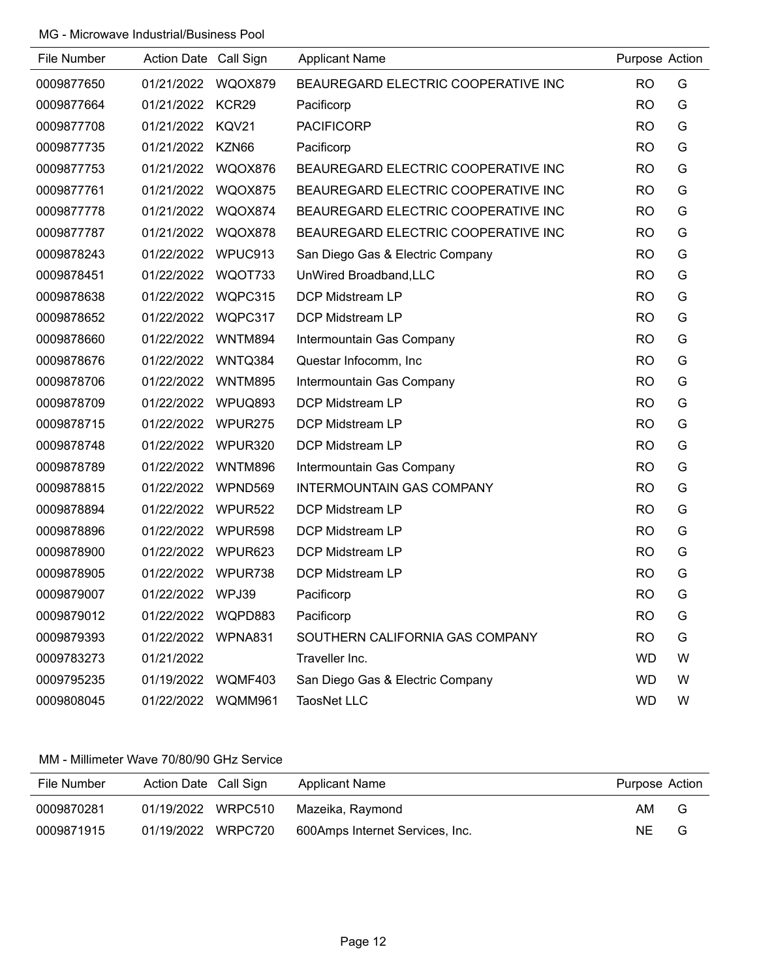| File Number | Action Date Call Sign |                | <b>Applicant Name</b>               | Purpose Action |   |
|-------------|-----------------------|----------------|-------------------------------------|----------------|---|
| 0009877650  | 01/21/2022            | WQOX879        | BEAUREGARD ELECTRIC COOPERATIVE INC | <b>RO</b>      | G |
| 0009877664  | 01/21/2022            | KCR29          | Pacificorp                          | <b>RO</b>      | G |
| 0009877708  | 01/21/2022            | KQV21          | <b>PACIFICORP</b>                   | <b>RO</b>      | G |
| 0009877735  | 01/21/2022            | KZN66          | Pacificorp                          | <b>RO</b>      | G |
| 0009877753  | 01/21/2022            | WQOX876        | BEAUREGARD ELECTRIC COOPERATIVE INC | <b>RO</b>      | G |
| 0009877761  | 01/21/2022            | <b>WQOX875</b> | BEAUREGARD ELECTRIC COOPERATIVE INC | <b>RO</b>      | G |
| 0009877778  | 01/21/2022            | WQOX874        | BEAUREGARD ELECTRIC COOPERATIVE INC | <b>RO</b>      | G |
| 0009877787  | 01/21/2022            | WQOX878        | BEAUREGARD ELECTRIC COOPERATIVE INC | <b>RO</b>      | G |
| 0009878243  | 01/22/2022            | WPUC913        | San Diego Gas & Electric Company    | <b>RO</b>      | G |
| 0009878451  | 01/22/2022            | WQOT733        | UnWired Broadband, LLC              | <b>RO</b>      | G |
| 0009878638  | 01/22/2022            | WQPC315        | <b>DCP Midstream LP</b>             | <b>RO</b>      | G |
| 0009878652  | 01/22/2022            | WQPC317        | <b>DCP Midstream LP</b>             | <b>RO</b>      | G |
| 0009878660  | 01/22/2022            | WNTM894        | Intermountain Gas Company           | <b>RO</b>      | G |
| 0009878676  | 01/22/2022            | WNTQ384        | Questar Infocomm, Inc               | <b>RO</b>      | G |
| 0009878706  | 01/22/2022            | <b>WNTM895</b> | Intermountain Gas Company           | <b>RO</b>      | G |
| 0009878709  | 01/22/2022            | WPUQ893        | <b>DCP Midstream LP</b>             | <b>RO</b>      | G |
| 0009878715  | 01/22/2022            | WPUR275        | DCP Midstream LP                    | <b>RO</b>      | G |
| 0009878748  | 01/22/2022            | WPUR320        | DCP Midstream LP                    | <b>RO</b>      | G |
| 0009878789  | 01/22/2022            | <b>WNTM896</b> | Intermountain Gas Company           | <b>RO</b>      | G |
| 0009878815  | 01/22/2022            | WPND569        | <b>INTERMOUNTAIN GAS COMPANY</b>    | <b>RO</b>      | G |
| 0009878894  | 01/22/2022            | WPUR522        | DCP Midstream LP                    | <b>RO</b>      | G |
| 0009878896  | 01/22/2022            | WPUR598        | DCP Midstream LP                    | <b>RO</b>      | G |
| 0009878900  | 01/22/2022            | WPUR623        | DCP Midstream LP                    | <b>RO</b>      | G |
| 0009878905  | 01/22/2022            | WPUR738        | DCP Midstream LP                    | <b>RO</b>      | G |
| 0009879007  | 01/22/2022 WPJ39      |                | Pacificorp                          | <b>RO</b>      | G |
| 0009879012  | 01/22/2022 WQPD883    |                | Pacificorp                          | <b>RO</b>      | G |
| 0009879393  | 01/22/2022 WPNA831    |                | SOUTHERN CALIFORNIA GAS COMPANY     | <b>RO</b>      | G |
| 0009783273  | 01/21/2022            |                | Traveller Inc.                      | <b>WD</b>      | W |
| 0009795235  | 01/19/2022 WQMF403    |                | San Diego Gas & Electric Company    | <b>WD</b>      | W |
| 0009808045  | 01/22/2022 WQMM961    |                | <b>TaosNet LLC</b>                  | <b>WD</b>      | W |

### MM - Millimeter Wave 70/80/90 GHz Service

| File Number | Action Date Call Sign | Applicant Name                  | Purpose Action |
|-------------|-----------------------|---------------------------------|----------------|
| 0009870281  | 01/19/2022<br>WRPC510 | Mazeika, Raymond                | AM<br>G        |
| 0009871915  | 01/19/2022<br>WRPC720 | 600Amps Internet Services, Inc. | ΝE<br>G        |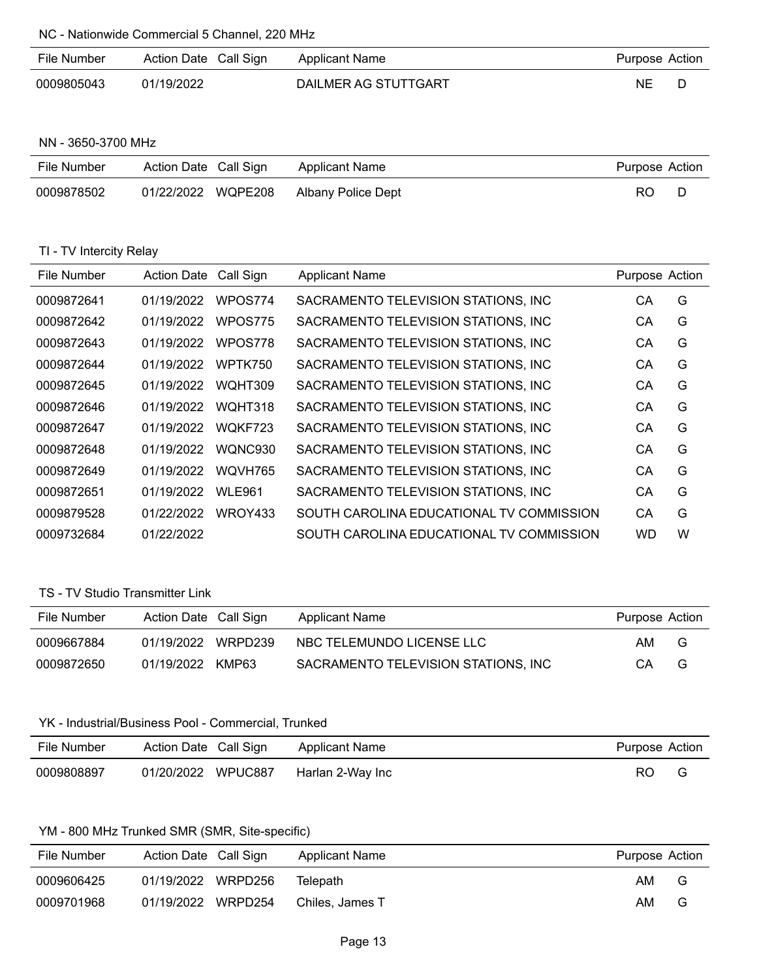NC - Nationwide Commercial 5 Channel, 220 MHz

| File Number | Action Date Call Sign | Applicant Name       | Purpose Action |  |
|-------------|-----------------------|----------------------|----------------|--|
| 0009805043  | 01/19/2022            | DAILMER AG STUTTGART | <b>NE</b>      |  |

### NN - 3650-3700 MHz

| File Number | Action Date Call Sign | Applicant Name     | Purpose Action |  |
|-------------|-----------------------|--------------------|----------------|--|
| 0009878502  | 01/22/2022 WQPE208    | Albany Police Dept | RO.            |  |

### TI - TV Intercity Relay

| File Number | <b>Action Date</b> | Call Sign     | <b>Applicant Name</b>                    | Purpose Action |   |
|-------------|--------------------|---------------|------------------------------------------|----------------|---|
| 0009872641  | 01/19/2022         | WPOS774       | SACRAMENTO TELEVISION STATIONS, INC      | CА             | G |
| 0009872642  | 01/19/2022         | WPOS775       | SACRAMENTO TELEVISION STATIONS, INC.     | СA             | G |
| 0009872643  | 01/19/2022         | WPOS778       | SACRAMENTO TELEVISION STATIONS, INC.     | СA             | G |
| 0009872644  | 01/19/2022         | WPTK750       | SACRAMENTO TELEVISION STATIONS, INC.     | CА             | G |
| 0009872645  | 01/19/2022         | WQHT309       | SACRAMENTO TELEVISION STATIONS, INC      | CА             | G |
| 0009872646  | 01/19/2022         | WQHT318       | SACRAMENTO TELEVISION STATIONS, INC      | СA             | G |
| 0009872647  | 01/19/2022         | WQKF723       | SACRAMENTO TELEVISION STATIONS, INC.     | СA             | G |
| 0009872648  | 01/19/2022         | WONC930       | SACRAMENTO TELEVISION STATIONS, INC      | СA             | G |
| 0009872649  | 01/19/2022         | WQVH765       | SACRAMENTO TELEVISION STATIONS, INC.     | СA             | G |
| 0009872651  | 01/19/2022         | <b>WLE961</b> | SACRAMENTO TELEVISION STATIONS, INC.     | CA             | G |
| 0009879528  | 01/22/2022         | WROY433       | SOUTH CAROLINA EDUCATIONAL TV COMMISSION | CA             | G |
| 0009732684  | 01/22/2022         |               | SOUTH CAROLINA EDUCATIONAL TV COMMISSION | WD             | W |

# TS - TV Studio Transmitter Link

| File Number | Action Date Call Sign | Applicant Name                       | Purpose Action |   |
|-------------|-----------------------|--------------------------------------|----------------|---|
| 0009667884  | 01/19/2022 WRPD239    | NBC TELEMUNDO LICENSE LLC            | AM.            | G |
| 0009872650  | 01/19/2022 KMP63      | SACRAMENTO TELEVISION STATIONS. INC. | CА             | G |

# YK - Industrial/Business Pool - Commercial, Trunked

| File Number | Action Date Call Sign | Applicant Name   | Purpose Action |  |
|-------------|-----------------------|------------------|----------------|--|
| 0009808897  | 01/20/2022 WPUC887    | Harlan 2-Way Inc | RO             |  |

# YM - 800 MHz Trunked SMR (SMR, Site-specific)

| File Number | Action Date Call Sign | Applicant Name  | Purpose Action |   |
|-------------|-----------------------|-----------------|----------------|---|
| 0009606425  | 01/19/2022 WRPD256    | Telepath        | AM.            | G |
| 0009701968  | 01/19/2022 WRPD254    | Chiles. James T | AM.            | G |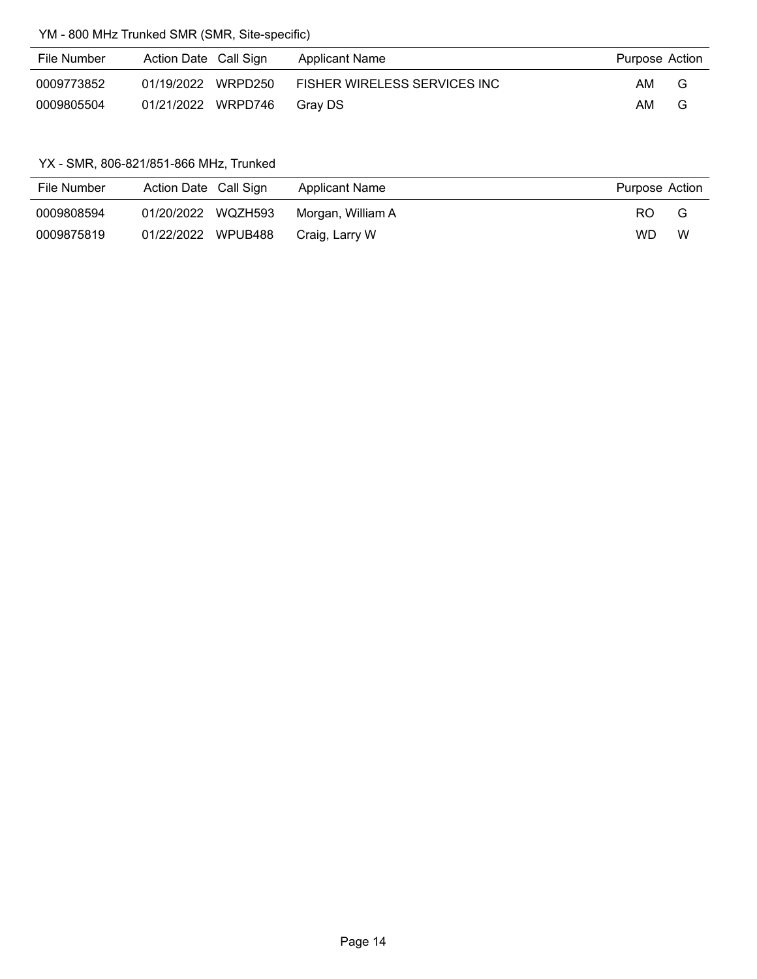# YM - 800 MHz Trunked SMR (SMR, Site-specific)

| File Number | Action Date Call Sign | Applicant Name               | Purpose Action |   |
|-------------|-----------------------|------------------------------|----------------|---|
| 0009773852  | 01/19/2022 WRPD250    | FISHER WIRELESS SERVICES INC | AM.            | G |
| 0009805504  | 01/21/2022 WRPD746    | Grav DS                      | AM.            | G |

# YX - SMR, 806-821/851-866 MHz, Trunked

| File Number | Action Date Call Sign | Applicant Name    | Purpose Action |   |
|-------------|-----------------------|-------------------|----------------|---|
| 0009808594  | 01/20/2022 WQZH593    | Morgan, William A | RO.            | G |
| 0009875819  | 01/22/2022 WPUB488    | Craig, Larry W    | WD             | W |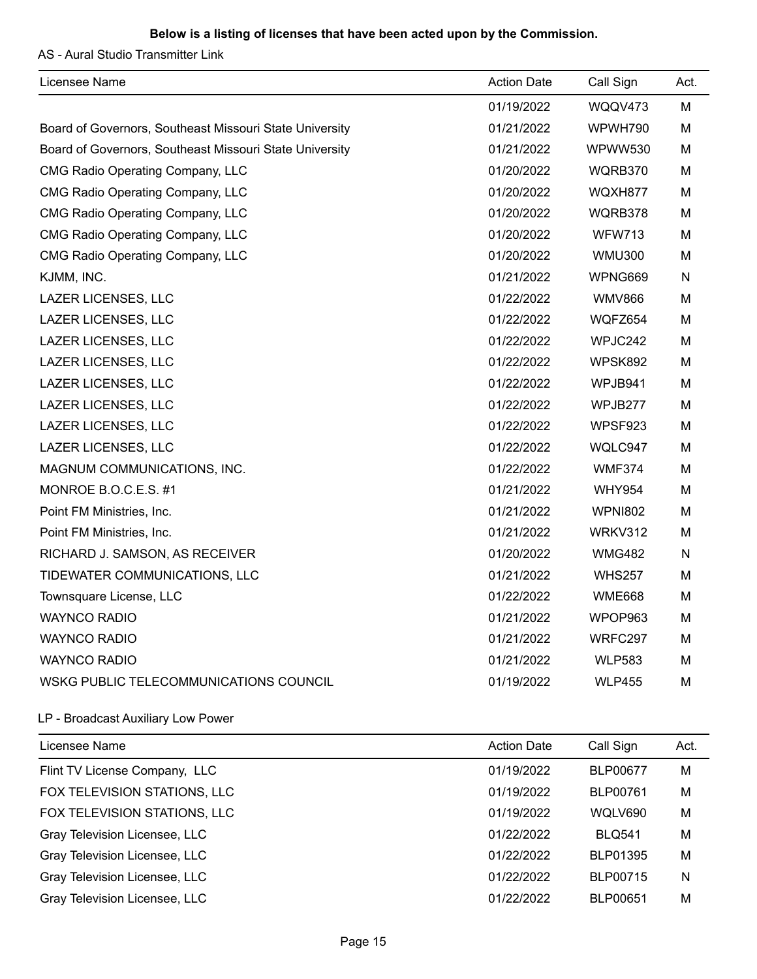AS - Aural Studio Transmitter Link

| Licensee Name                                           | <b>Action Date</b> | Call Sign      | Act.      |
|---------------------------------------------------------|--------------------|----------------|-----------|
|                                                         | 01/19/2022         | WQQV473        | М         |
| Board of Governors, Southeast Missouri State University | 01/21/2022         | WPWH790        | М         |
| Board of Governors, Southeast Missouri State University | 01/21/2022         | <b>WPWW530</b> | M         |
| <b>CMG Radio Operating Company, LLC</b>                 | 01/20/2022         | WQRB370        | М         |
| CMG Radio Operating Company, LLC                        | 01/20/2022         | WQXH877        | М         |
| CMG Radio Operating Company, LLC                        | 01/20/2022         | WQRB378        | М         |
| CMG Radio Operating Company, LLC                        | 01/20/2022         | <b>WFW713</b>  | м         |
| <b>CMG Radio Operating Company, LLC</b>                 | 01/20/2022         | <b>WMU300</b>  | М         |
| KJMM, INC.                                              | 01/21/2022         | WPNG669        | N         |
| <b>LAZER LICENSES, LLC</b>                              | 01/22/2022         | <b>WMV866</b>  | М         |
| LAZER LICENSES, LLC                                     | 01/22/2022         | WQFZ654        | M         |
| LAZER LICENSES, LLC                                     | 01/22/2022         | WPJC242        | М         |
| <b>LAZER LICENSES, LLC</b>                              | 01/22/2022         | WPSK892        | М         |
| LAZER LICENSES, LLC                                     | 01/22/2022         | WPJB941        | М         |
| LAZER LICENSES, LLC                                     | 01/22/2022         | WPJB277        | м         |
| <b>LAZER LICENSES, LLC</b>                              | 01/22/2022         | WPSF923        | М         |
| <b>LAZER LICENSES, LLC</b>                              | 01/22/2022         | WQLC947        | М         |
| MAGNUM COMMUNICATIONS, INC.                             | 01/22/2022         | <b>WMF374</b>  | М         |
| MONROE B.O.C.E.S. #1                                    | 01/21/2022         | <b>WHY954</b>  | M         |
| Point FM Ministries, Inc.                               | 01/21/2022         | <b>WPNI802</b> | М         |
| Point FM Ministries, Inc.                               | 01/21/2022         | WRKV312        | М         |
| RICHARD J. SAMSON, AS RECEIVER                          | 01/20/2022         | <b>WMG482</b>  | ${\sf N}$ |
| TIDEWATER COMMUNICATIONS, LLC                           | 01/21/2022         | <b>WHS257</b>  | М         |
| Townsquare License, LLC                                 | 01/22/2022         | <b>WME668</b>  | м         |
| <b>WAYNCO RADIO</b>                                     | 01/21/2022         | WPOP963        | м         |
| <b>WAYNCO RADIO</b>                                     | 01/21/2022         | WRFC297        | М         |
| <b>WAYNCO RADIO</b>                                     | 01/21/2022         | <b>WLP583</b>  | М         |
| WSKG PUBLIC TELECOMMUNICATIONS COUNCIL                  | 01/19/2022         | <b>WLP455</b>  | М         |

# LP - Broadcast Auxiliary Low Power

| Licensee Name                 | <b>Action Date</b> | Call Sign       | Act. |
|-------------------------------|--------------------|-----------------|------|
| Flint TV License Company, LLC | 01/19/2022         | <b>BLP00677</b> | M    |
| FOX TELEVISION STATIONS, LLC  | 01/19/2022         | BLP00761        | M    |
| FOX TELEVISION STATIONS, LLC  | 01/19/2022         | WQLV690         | M    |
| Gray Television Licensee, LLC | 01/22/2022         | <b>BLQ541</b>   | M    |
| Gray Television Licensee, LLC | 01/22/2022         | BLP01395        | M    |
| Gray Television Licensee, LLC | 01/22/2022         | <b>BLP00715</b> | N    |
| Gray Television Licensee, LLC | 01/22/2022         | BLP00651        | M    |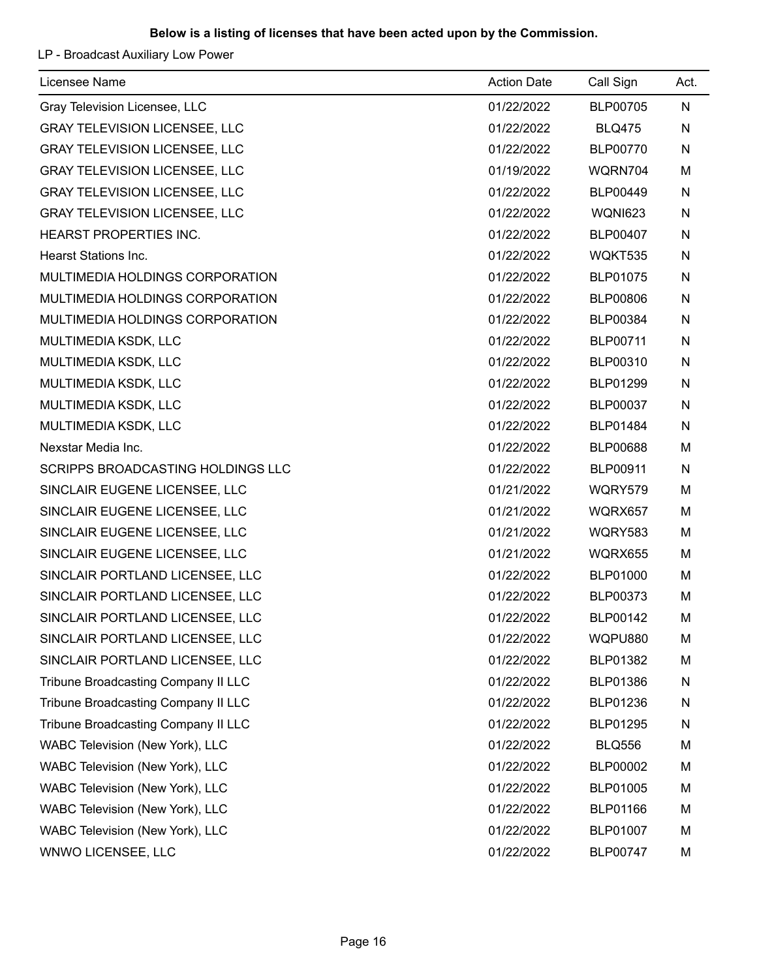LP - Broadcast Auxiliary Low Power

| Licensee Name                        | <b>Action Date</b> | Call Sign       | Act.      |
|--------------------------------------|--------------------|-----------------|-----------|
| Gray Television Licensee, LLC        | 01/22/2022         | <b>BLP00705</b> | N         |
| <b>GRAY TELEVISION LICENSEE, LLC</b> | 01/22/2022         | <b>BLQ475</b>   | N         |
| <b>GRAY TELEVISION LICENSEE, LLC</b> | 01/22/2022         | <b>BLP00770</b> | N         |
| <b>GRAY TELEVISION LICENSEE, LLC</b> | 01/19/2022         | WQRN704         | M         |
| <b>GRAY TELEVISION LICENSEE, LLC</b> | 01/22/2022         | <b>BLP00449</b> | N         |
| <b>GRAY TELEVISION LICENSEE, LLC</b> | 01/22/2022         | WQNI623         | N         |
| HEARST PROPERTIES INC.               | 01/22/2022         | <b>BLP00407</b> | N         |
| <b>Hearst Stations Inc.</b>          | 01/22/2022         | WQKT535         | N         |
| MULTIMEDIA HOLDINGS CORPORATION      | 01/22/2022         | BLP01075        | N         |
| MULTIMEDIA HOLDINGS CORPORATION      | 01/22/2022         | <b>BLP00806</b> | N         |
| MULTIMEDIA HOLDINGS CORPORATION      | 01/22/2022         | BLP00384        | N         |
| MULTIMEDIA KSDK, LLC                 | 01/22/2022         | BLP00711        | N         |
| MULTIMEDIA KSDK, LLC                 | 01/22/2022         | BLP00310        | N         |
| MULTIMEDIA KSDK, LLC                 | 01/22/2022         | BLP01299        | N         |
| MULTIMEDIA KSDK, LLC                 | 01/22/2022         | BLP00037        | N         |
| MULTIMEDIA KSDK, LLC                 | 01/22/2022         | BLP01484        | ${\sf N}$ |
| Nexstar Media Inc.                   | 01/22/2022         | <b>BLP00688</b> | M         |
| SCRIPPS BROADCASTING HOLDINGS LLC    | 01/22/2022         | BLP00911        | N         |
| SINCLAIR EUGENE LICENSEE, LLC        | 01/21/2022         | WQRY579         | M         |
| SINCLAIR EUGENE LICENSEE, LLC        | 01/21/2022         | WQRX657         | M         |
| SINCLAIR EUGENE LICENSEE, LLC        | 01/21/2022         | <b>WQRY583</b>  | M         |
| SINCLAIR EUGENE LICENSEE, LLC        | 01/21/2022         | <b>WQRX655</b>  | M         |
| SINCLAIR PORTLAND LICENSEE, LLC      | 01/22/2022         | <b>BLP01000</b> | M         |
| SINCLAIR PORTLAND LICENSEE, LLC      | 01/22/2022         | BLP00373        | M         |
| SINCLAIR PORTLAND LICENSEE, LLC      | 01/22/2022         | BLP00142        | M         |
| SINCLAIR PORTLAND LICENSEE, LLC      | 01/22/2022         | WQPU880         | M         |
| SINCLAIR PORTLAND LICENSEE, LLC      | 01/22/2022         | BLP01382        | M         |
| Tribune Broadcasting Company II LLC  | 01/22/2022         | BLP01386        | N         |
| Tribune Broadcasting Company II LLC  | 01/22/2022         | BLP01236        | N         |
| Tribune Broadcasting Company II LLC  | 01/22/2022         | <b>BLP01295</b> | N         |
| WABC Television (New York), LLC      | 01/22/2022         | <b>BLQ556</b>   | M         |
| WABC Television (New York), LLC      | 01/22/2022         | <b>BLP00002</b> | M         |
| WABC Television (New York), LLC      | 01/22/2022         | BLP01005        | M         |
| WABC Television (New York), LLC      | 01/22/2022         | BLP01166        | M         |
| WABC Television (New York), LLC      | 01/22/2022         | BLP01007        | M         |
| WNWO LICENSEE, LLC                   | 01/22/2022         | <b>BLP00747</b> | M         |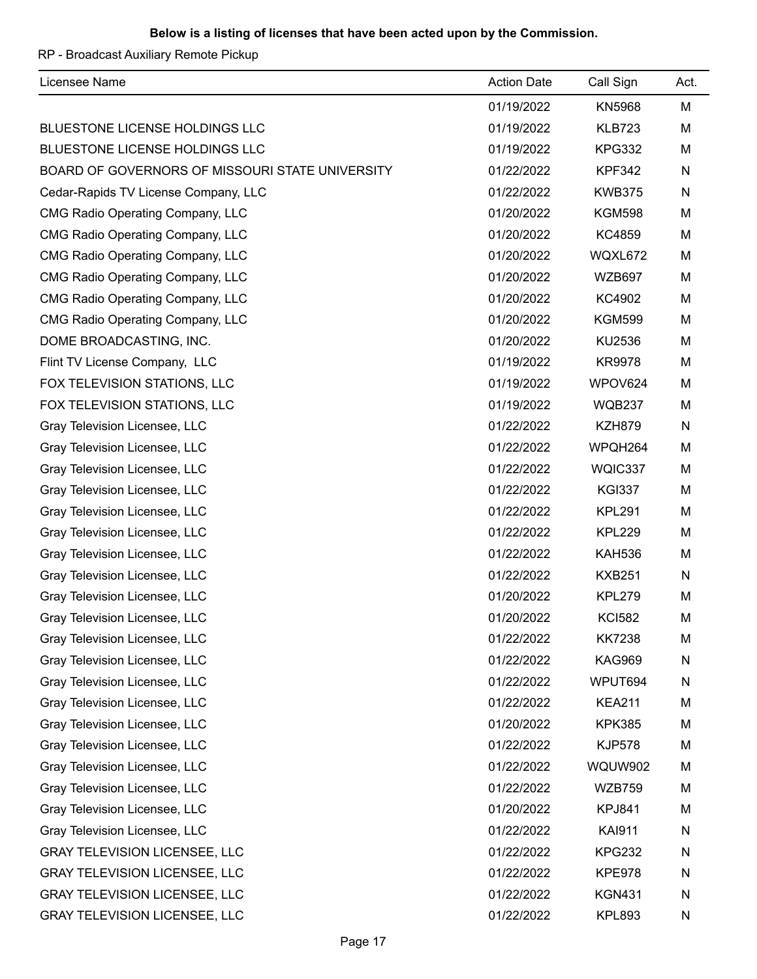RP - Broadcast Auxiliary Remote Pickup

| Licensee Name                                   | <b>Action Date</b> | Call Sign      | Act. |
|-------------------------------------------------|--------------------|----------------|------|
|                                                 | 01/19/2022         | <b>KN5968</b>  | M    |
| BLUESTONE LICENSE HOLDINGS LLC                  | 01/19/2022         | <b>KLB723</b>  | M    |
| BLUESTONE LICENSE HOLDINGS LLC                  | 01/19/2022         | <b>KPG332</b>  | M    |
| BOARD OF GOVERNORS OF MISSOURI STATE UNIVERSITY | 01/22/2022         | <b>KPF342</b>  | N    |
| Cedar-Rapids TV License Company, LLC            | 01/22/2022         | <b>KWB375</b>  | N    |
| <b>CMG Radio Operating Company, LLC</b>         | 01/20/2022         | <b>KGM598</b>  | M    |
| CMG Radio Operating Company, LLC                | 01/20/2022         | KC4859         | M    |
| <b>CMG Radio Operating Company, LLC</b>         | 01/20/2022         | WQXL672        | M    |
| CMG Radio Operating Company, LLC                | 01/20/2022         | <b>WZB697</b>  | М    |
| <b>CMG Radio Operating Company, LLC</b>         | 01/20/2022         | KC4902         | M    |
| <b>CMG Radio Operating Company, LLC</b>         | 01/20/2022         | <b>KGM599</b>  | M    |
| DOME BROADCASTING, INC.                         | 01/20/2022         | KU2536         | M    |
| Flint TV License Company, LLC                   | 01/19/2022         | <b>KR9978</b>  | M    |
| FOX TELEVISION STATIONS, LLC                    | 01/19/2022         | WPOV624        | M    |
| FOX TELEVISION STATIONS, LLC                    | 01/19/2022         | <b>WQB237</b>  | M    |
| Gray Television Licensee, LLC                   | 01/22/2022         | <b>KZH879</b>  | N    |
| Gray Television Licensee, LLC                   | 01/22/2022         | WPQH264        | M    |
| Gray Television Licensee, LLC                   | 01/22/2022         | WQIC337        | М    |
| Gray Television Licensee, LLC                   | 01/22/2022         | <b>KGI337</b>  | M    |
| Gray Television Licensee, LLC                   | 01/22/2022         | <b>KPL291</b>  | M    |
| Gray Television Licensee, LLC                   | 01/22/2022         | <b>KPL229</b>  | M    |
| Gray Television Licensee, LLC                   | 01/22/2022         | <b>KAH536</b>  | M    |
| Gray Television Licensee, LLC                   | 01/22/2022         | <b>KXB251</b>  | N    |
| Gray Television Licensee, LLC                   | 01/20/2022         | <b>KPL279</b>  | M    |
| Gray Television Licensee, LLC                   | 01/20/2022         | <b>KCI582</b>  | М    |
| Gray Television Licensee, LLC                   | 01/22/2022         | <b>KK7238</b>  | M    |
| Gray Television Licensee, LLC                   | 01/22/2022         | <b>KAG969</b>  | N    |
| Gray Television Licensee, LLC                   | 01/22/2022         | WPUT694        | N    |
| Gray Television Licensee, LLC                   | 01/22/2022         | <b>KEA211</b>  | M    |
| Gray Television Licensee, LLC                   | 01/20/2022         | <b>KPK385</b>  | M    |
| Gray Television Licensee, LLC                   | 01/22/2022         | <b>KJP578</b>  | M    |
| Gray Television Licensee, LLC                   | 01/22/2022         | <b>WQUW902</b> | M    |
| Gray Television Licensee, LLC                   | 01/22/2022         | <b>WZB759</b>  | M    |
| Gray Television Licensee, LLC                   | 01/20/2022         | <b>KPJ841</b>  | M    |
| Gray Television Licensee, LLC                   | 01/22/2022         | <b>KAI911</b>  | N    |
| <b>GRAY TELEVISION LICENSEE, LLC</b>            | 01/22/2022         | <b>KPG232</b>  | N    |
| <b>GRAY TELEVISION LICENSEE, LLC</b>            | 01/22/2022         | <b>KPE978</b>  | N    |
| <b>GRAY TELEVISION LICENSEE, LLC</b>            | 01/22/2022         | <b>KGN431</b>  | N    |
| <b>GRAY TELEVISION LICENSEE, LLC</b>            | 01/22/2022         | <b>KPL893</b>  | N    |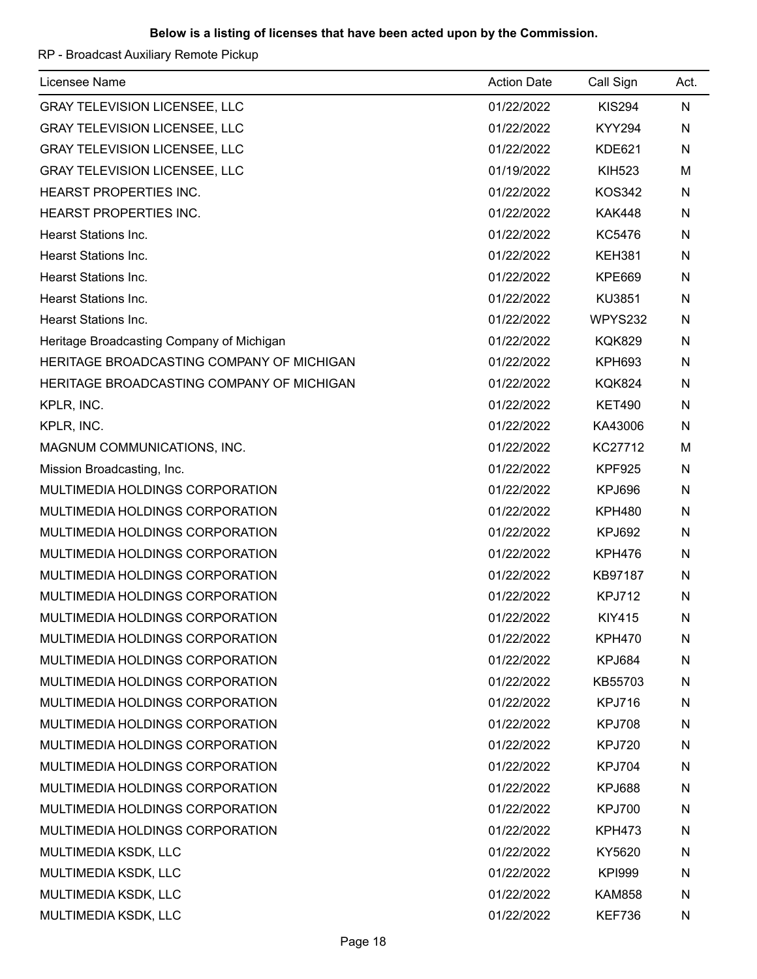RP - Broadcast Auxiliary Remote Pickup

| Licensee Name                             | <b>Action Date</b> | Call Sign     | Act. |
|-------------------------------------------|--------------------|---------------|------|
| <b>GRAY TELEVISION LICENSEE, LLC</b>      | 01/22/2022         | <b>KIS294</b> | N    |
| <b>GRAY TELEVISION LICENSEE, LLC</b>      | 01/22/2022         | <b>KYY294</b> | N    |
| <b>GRAY TELEVISION LICENSEE, LLC</b>      | 01/22/2022         | <b>KDE621</b> | N    |
| <b>GRAY TELEVISION LICENSEE, LLC</b>      | 01/19/2022         | <b>KIH523</b> | M    |
| HEARST PROPERTIES INC.                    | 01/22/2022         | <b>KOS342</b> | N    |
| HEARST PROPERTIES INC.                    | 01/22/2022         | <b>KAK448</b> | N    |
| Hearst Stations Inc.                      | 01/22/2022         | KC5476        | N    |
| <b>Hearst Stations Inc.</b>               | 01/22/2022         | <b>KEH381</b> | N    |
| <b>Hearst Stations Inc.</b>               | 01/22/2022         | <b>KPE669</b> | N    |
| Hearst Stations Inc.                      | 01/22/2022         | KU3851        | N    |
| Hearst Stations Inc.                      | 01/22/2022         | WPYS232       | N    |
| Heritage Broadcasting Company of Michigan | 01/22/2022         | <b>KQK829</b> | N    |
| HERITAGE BROADCASTING COMPANY OF MICHIGAN | 01/22/2022         | <b>KPH693</b> | N    |
| HERITAGE BROADCASTING COMPANY OF MICHIGAN | 01/22/2022         | <b>KQK824</b> | N    |
| KPLR, INC.                                | 01/22/2022         | <b>KET490</b> | N    |
| KPLR, INC.                                | 01/22/2022         | KA43006       | N    |
| MAGNUM COMMUNICATIONS, INC.               | 01/22/2022         | KC27712       | м    |
| Mission Broadcasting, Inc.                | 01/22/2022         | <b>KPF925</b> | N    |
| MULTIMEDIA HOLDINGS CORPORATION           | 01/22/2022         | <b>KPJ696</b> | N    |
| MULTIMEDIA HOLDINGS CORPORATION           | 01/22/2022         | <b>KPH480</b> | N    |
| MULTIMEDIA HOLDINGS CORPORATION           | 01/22/2022         | <b>KPJ692</b> | N    |
| MULTIMEDIA HOLDINGS CORPORATION           | 01/22/2022         | <b>KPH476</b> | N    |
| MULTIMEDIA HOLDINGS CORPORATION           | 01/22/2022         | KB97187       | N    |
| MULTIMEDIA HOLDINGS CORPORATION           | 01/22/2022         | <b>KPJ712</b> | N    |
| MULTIMEDIA HOLDINGS CORPORATION           | 01/22/2022         | <b>KIY415</b> | N    |
| MULTIMEDIA HOLDINGS CORPORATION           | 01/22/2022         | <b>KPH470</b> | N    |
| MULTIMEDIA HOLDINGS CORPORATION           | 01/22/2022         | KPJ684        | N    |
| MULTIMEDIA HOLDINGS CORPORATION           | 01/22/2022         | KB55703       | N    |
| MULTIMEDIA HOLDINGS CORPORATION           | 01/22/2022         | <b>KPJ716</b> | N    |
| MULTIMEDIA HOLDINGS CORPORATION           | 01/22/2022         | <b>KPJ708</b> | N    |
| MULTIMEDIA HOLDINGS CORPORATION           | 01/22/2022         | <b>KPJ720</b> | N    |
| MULTIMEDIA HOLDINGS CORPORATION           | 01/22/2022         | <b>KPJ704</b> | N    |
| MULTIMEDIA HOLDINGS CORPORATION           | 01/22/2022         | KPJ688        | N    |
| MULTIMEDIA HOLDINGS CORPORATION           | 01/22/2022         | <b>KPJ700</b> | N    |
| MULTIMEDIA HOLDINGS CORPORATION           | 01/22/2022         | <b>KPH473</b> | N    |
| MULTIMEDIA KSDK, LLC                      | 01/22/2022         | KY5620        | N    |
| MULTIMEDIA KSDK, LLC                      | 01/22/2022         | <b>KPI999</b> | N    |
| MULTIMEDIA KSDK, LLC                      | 01/22/2022         | <b>KAM858</b> | N    |
| MULTIMEDIA KSDK, LLC                      | 01/22/2022         | <b>KEF736</b> | N    |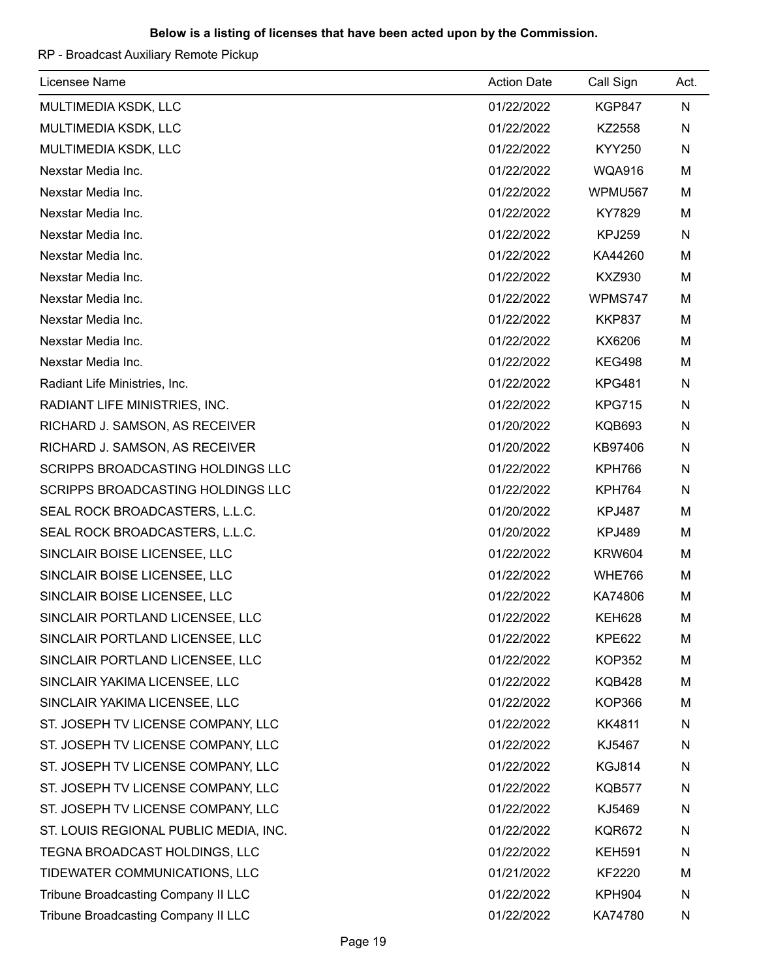RP - Broadcast Auxiliary Remote Pickup

| Licensee Name                         | <b>Action Date</b> | Call Sign     | Act. |
|---------------------------------------|--------------------|---------------|------|
| MULTIMEDIA KSDK, LLC                  | 01/22/2022         | <b>KGP847</b> | N    |
| MULTIMEDIA KSDK, LLC                  | 01/22/2022         | KZ2558        | N    |
| MULTIMEDIA KSDK, LLC                  | 01/22/2022         | <b>KYY250</b> | N    |
| Nexstar Media Inc.                    | 01/22/2022         | <b>WQA916</b> | M    |
| Nexstar Media Inc.                    | 01/22/2022         | WPMU567       | M    |
| Nexstar Media Inc.                    | 01/22/2022         | KY7829        | M    |
| Nexstar Media Inc.                    | 01/22/2022         | <b>KPJ259</b> | N    |
| Nexstar Media Inc.                    | 01/22/2022         | KA44260       | M    |
| Nexstar Media Inc.                    | 01/22/2022         | <b>KXZ930</b> | M    |
| Nexstar Media Inc.                    | 01/22/2022         | WPMS747       | M    |
| Nexstar Media Inc.                    | 01/22/2022         | <b>KKP837</b> | M    |
| Nexstar Media Inc.                    | 01/22/2022         | KX6206        | M    |
| Nexstar Media Inc.                    | 01/22/2022         | <b>KEG498</b> | M    |
| Radiant Life Ministries, Inc.         | 01/22/2022         | <b>KPG481</b> | N    |
| RADIANT LIFE MINISTRIES, INC.         | 01/22/2022         | <b>KPG715</b> | N    |
| RICHARD J. SAMSON, AS RECEIVER        | 01/20/2022         | <b>KQB693</b> | N    |
| RICHARD J. SAMSON, AS RECEIVER        | 01/20/2022         | KB97406       | N    |
| SCRIPPS BROADCASTING HOLDINGS LLC     | 01/22/2022         | KPH766        | N    |
| SCRIPPS BROADCASTING HOLDINGS LLC     | 01/22/2022         | <b>KPH764</b> | N    |
| SEAL ROCK BROADCASTERS, L.L.C.        | 01/20/2022         | <b>KPJ487</b> | M    |
| SEAL ROCK BROADCASTERS, L.L.C.        | 01/20/2022         | <b>KPJ489</b> | M    |
| SINCLAIR BOISE LICENSEE, LLC          | 01/22/2022         | <b>KRW604</b> | M    |
| SINCLAIR BOISE LICENSEE, LLC          | 01/22/2022         | <b>WHE766</b> | M    |
| SINCLAIR BOISE LICENSEE, LLC          | 01/22/2022         | KA74806       | M    |
| SINCLAIR PORTLAND LICENSEE, LLC       | 01/22/2022         | <b>KEH628</b> | M    |
| SINCLAIR PORTLAND LICENSEE, LLC       | 01/22/2022         | <b>KPE622</b> | M    |
| SINCLAIR PORTLAND LICENSEE, LLC       | 01/22/2022         | <b>KOP352</b> | M    |
| SINCLAIR YAKIMA LICENSEE, LLC         | 01/22/2022         | <b>KQB428</b> | M    |
| SINCLAIR YAKIMA LICENSEE, LLC         | 01/22/2022         | <b>KOP366</b> | M    |
| ST. JOSEPH TV LICENSE COMPANY, LLC    | 01/22/2022         | KK4811        | N    |
| ST. JOSEPH TV LICENSE COMPANY, LLC    | 01/22/2022         | KJ5467        | N    |
| ST. JOSEPH TV LICENSE COMPANY, LLC    | 01/22/2022         | <b>KGJ814</b> | N    |
| ST. JOSEPH TV LICENSE COMPANY, LLC    | 01/22/2022         | <b>KQB577</b> | N    |
| ST. JOSEPH TV LICENSE COMPANY, LLC    | 01/22/2022         | KJ5469        | N    |
| ST. LOUIS REGIONAL PUBLIC MEDIA, INC. | 01/22/2022         | <b>KQR672</b> | N    |
| TEGNA BROADCAST HOLDINGS, LLC         | 01/22/2022         | <b>KEH591</b> | N    |
| TIDEWATER COMMUNICATIONS, LLC         | 01/21/2022         | <b>KF2220</b> | M    |
| Tribune Broadcasting Company II LLC   | 01/22/2022         | <b>KPH904</b> | N    |
| Tribune Broadcasting Company II LLC   | 01/22/2022         | KA74780       | N    |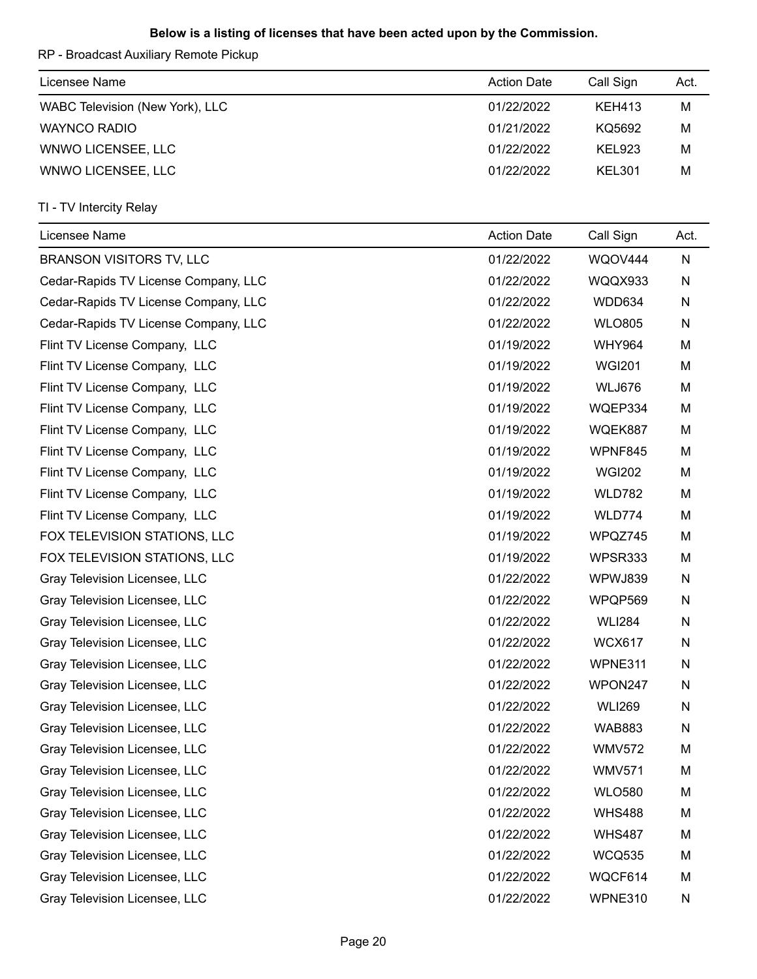RP - Broadcast Auxiliary Remote Pickup

| Licensee Name                   | <b>Action Date</b> | Call Sign     | Act. |
|---------------------------------|--------------------|---------------|------|
| WABC Television (New York), LLC | 01/22/2022         | <b>KEH413</b> | M    |
| <b>WAYNCO RADIO</b>             | 01/21/2022         | KQ5692        | M    |
| WNWO LICENSEE, LLC              | 01/22/2022         | <b>KEL923</b> | M    |
| WNWO LICENSEE, LLC              | 01/22/2022         | <b>KEL301</b> | M    |

| Licensee Name                        | <b>Action Date</b> | Call Sign     | Act. |
|--------------------------------------|--------------------|---------------|------|
| <b>BRANSON VISITORS TV, LLC</b>      | 01/22/2022         | WQOV444       | N    |
| Cedar-Rapids TV License Company, LLC | 01/22/2022         | WQQX933       | N    |
| Cedar-Rapids TV License Company, LLC | 01/22/2022         | WDD634        | N    |
| Cedar-Rapids TV License Company, LLC | 01/22/2022         | <b>WLO805</b> | N    |
| Flint TV License Company, LLC        | 01/19/2022         | <b>WHY964</b> | M    |
| Flint TV License Company, LLC        | 01/19/2022         | <b>WGI201</b> | M    |
| Flint TV License Company, LLC        | 01/19/2022         | <b>WLJ676</b> | M    |
| Flint TV License Company, LLC        | 01/19/2022         | WQEP334       | M    |
| Flint TV License Company, LLC        | 01/19/2022         | WQEK887       | M    |
| Flint TV License Company, LLC        | 01/19/2022         | WPNF845       | M    |
| Flint TV License Company, LLC        | 01/19/2022         | <b>WGI202</b> | M    |
| Flint TV License Company, LLC        | 01/19/2022         | <b>WLD782</b> | M    |
| Flint TV License Company, LLC        | 01/19/2022         | WLD774        | M    |
| FOX TELEVISION STATIONS, LLC         | 01/19/2022         | WPQZ745       | M    |
| FOX TELEVISION STATIONS, LLC         | 01/19/2022         | WPSR333       | M    |
| Gray Television Licensee, LLC        | 01/22/2022         | WPWJ839       | N    |
| Gray Television Licensee, LLC        | 01/22/2022         | WPQP569       | N    |
| Gray Television Licensee, LLC        | 01/22/2022         | <b>WLI284</b> | N    |
| Gray Television Licensee, LLC        | 01/22/2022         | <b>WCX617</b> | N    |
| Gray Television Licensee, LLC        | 01/22/2022         | WPNE311       | N    |
| Gray Television Licensee, LLC        | 01/22/2022         | WPON247       | N    |
| Gray Television Licensee, LLC        | 01/22/2022         | <b>WLI269</b> | N    |
| Gray Television Licensee, LLC        | 01/22/2022         | <b>WAB883</b> | N    |
| Gray Television Licensee, LLC        | 01/22/2022         | <b>WMV572</b> | М    |
| Gray Television Licensee, LLC        | 01/22/2022         | <b>WMV571</b> | М    |
| Gray Television Licensee, LLC        | 01/22/2022         | <b>WLO580</b> | M    |
| Gray Television Licensee, LLC        | 01/22/2022         | <b>WHS488</b> | M    |
| Gray Television Licensee, LLC        | 01/22/2022         | <b>WHS487</b> | M    |
| Gray Television Licensee, LLC        | 01/22/2022         | <b>WCQ535</b> | M    |
| Gray Television Licensee, LLC        | 01/22/2022         | WQCF614       | M    |
| Gray Television Licensee, LLC        | 01/22/2022         | WPNE310       | N    |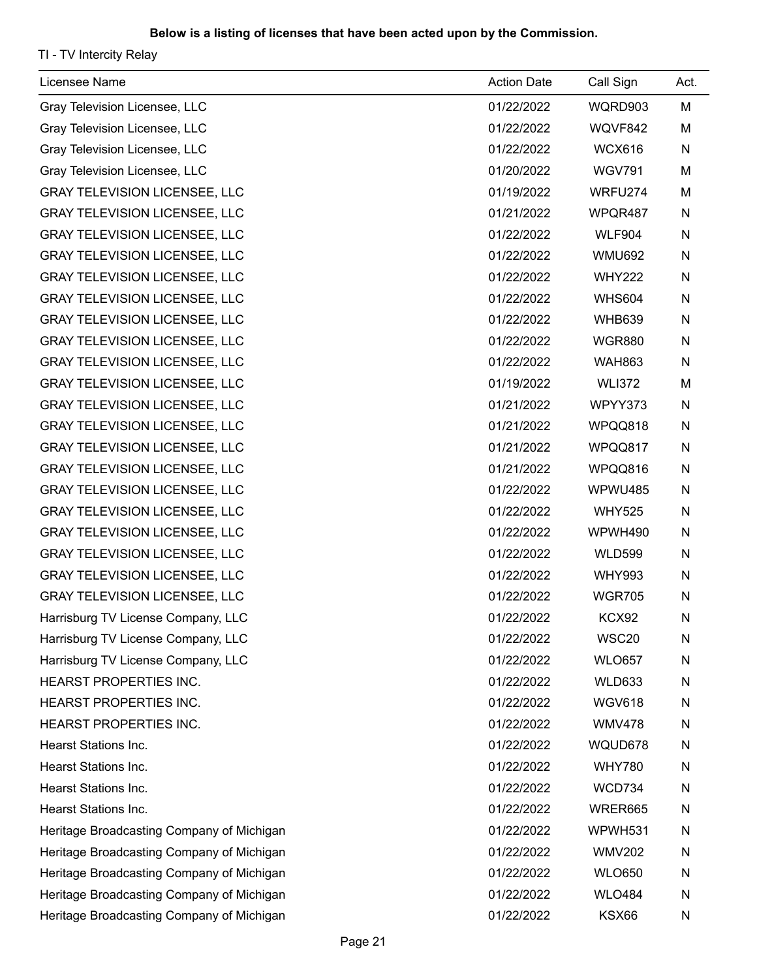| Licensee Name                             | <b>Action Date</b> | Call Sign     | Act.         |
|-------------------------------------------|--------------------|---------------|--------------|
| Gray Television Licensee, LLC             | 01/22/2022         | WQRD903       | М            |
| Gray Television Licensee, LLC             | 01/22/2022         | WQVF842       | M            |
| Gray Television Licensee, LLC             | 01/22/2022         | <b>WCX616</b> | $\mathsf{N}$ |
| Gray Television Licensee, LLC             | 01/20/2022         | <b>WGV791</b> | M            |
| <b>GRAY TELEVISION LICENSEE, LLC</b>      | 01/19/2022         | WRFU274       | M            |
| <b>GRAY TELEVISION LICENSEE, LLC</b>      | 01/21/2022         | WPQR487       | N            |
| <b>GRAY TELEVISION LICENSEE, LLC</b>      | 01/22/2022         | <b>WLF904</b> | N            |
| <b>GRAY TELEVISION LICENSEE, LLC</b>      | 01/22/2022         | <b>WMU692</b> | N            |
| <b>GRAY TELEVISION LICENSEE, LLC</b>      | 01/22/2022         | <b>WHY222</b> | N            |
| <b>GRAY TELEVISION LICENSEE, LLC</b>      | 01/22/2022         | <b>WHS604</b> | N            |
| GRAY TELEVISION LICENSEE, LLC             | 01/22/2022         | <b>WHB639</b> | N            |
| <b>GRAY TELEVISION LICENSEE, LLC</b>      | 01/22/2022         | <b>WGR880</b> | N            |
| <b>GRAY TELEVISION LICENSEE, LLC</b>      | 01/22/2022         | <b>WAH863</b> | N            |
| <b>GRAY TELEVISION LICENSEE, LLC</b>      | 01/19/2022         | <b>WLI372</b> | M            |
| <b>GRAY TELEVISION LICENSEE, LLC</b>      | 01/21/2022         | WPYY373       | N            |
| <b>GRAY TELEVISION LICENSEE, LLC</b>      | 01/21/2022         | WPQQ818       | N            |
| <b>GRAY TELEVISION LICENSEE, LLC</b>      | 01/21/2022         | WPQQ817       | N            |
| <b>GRAY TELEVISION LICENSEE, LLC</b>      | 01/21/2022         | WPQQ816       | N            |
| <b>GRAY TELEVISION LICENSEE, LLC</b>      | 01/22/2022         | WPWU485       | N            |
| <b>GRAY TELEVISION LICENSEE, LLC</b>      | 01/22/2022         | <b>WHY525</b> | N            |
| <b>GRAY TELEVISION LICENSEE, LLC</b>      | 01/22/2022         | WPWH490       | N            |
| <b>GRAY TELEVISION LICENSEE, LLC</b>      | 01/22/2022         | <b>WLD599</b> | N            |
| <b>GRAY TELEVISION LICENSEE, LLC</b>      | 01/22/2022         | <b>WHY993</b> | N            |
| <b>GRAY TELEVISION LICENSEE, LLC</b>      | 01/22/2022         | <b>WGR705</b> | N            |
| Harrisburg TV License Company, LLC        | 01/22/2022         | <b>KCX92</b>  | N            |
| Harrisburg TV License Company, LLC        | 01/22/2022         | WSC20         | N            |
| Harrisburg TV License Company, LLC        | 01/22/2022         | <b>WLO657</b> | N            |
| HEARST PROPERTIES INC.                    | 01/22/2022         | <b>WLD633</b> | N            |
| HEARST PROPERTIES INC.                    | 01/22/2022         | <b>WGV618</b> | N            |
| HEARST PROPERTIES INC.                    | 01/22/2022         | <b>WMV478</b> | N            |
| <b>Hearst Stations Inc.</b>               | 01/22/2022         | WQUD678       | N            |
| <b>Hearst Stations Inc.</b>               | 01/22/2022         | <b>WHY780</b> | N            |
| Hearst Stations Inc.                      | 01/22/2022         | <b>WCD734</b> | N            |
| Hearst Stations Inc.                      | 01/22/2022         | WRER665       | N            |
| Heritage Broadcasting Company of Michigan | 01/22/2022         | WPWH531       | N            |
| Heritage Broadcasting Company of Michigan | 01/22/2022         | <b>WMV202</b> | N            |
| Heritage Broadcasting Company of Michigan | 01/22/2022         | <b>WLO650</b> | N            |
| Heritage Broadcasting Company of Michigan | 01/22/2022         | <b>WLO484</b> | N            |
| Heritage Broadcasting Company of Michigan | 01/22/2022         | KSX66         | N            |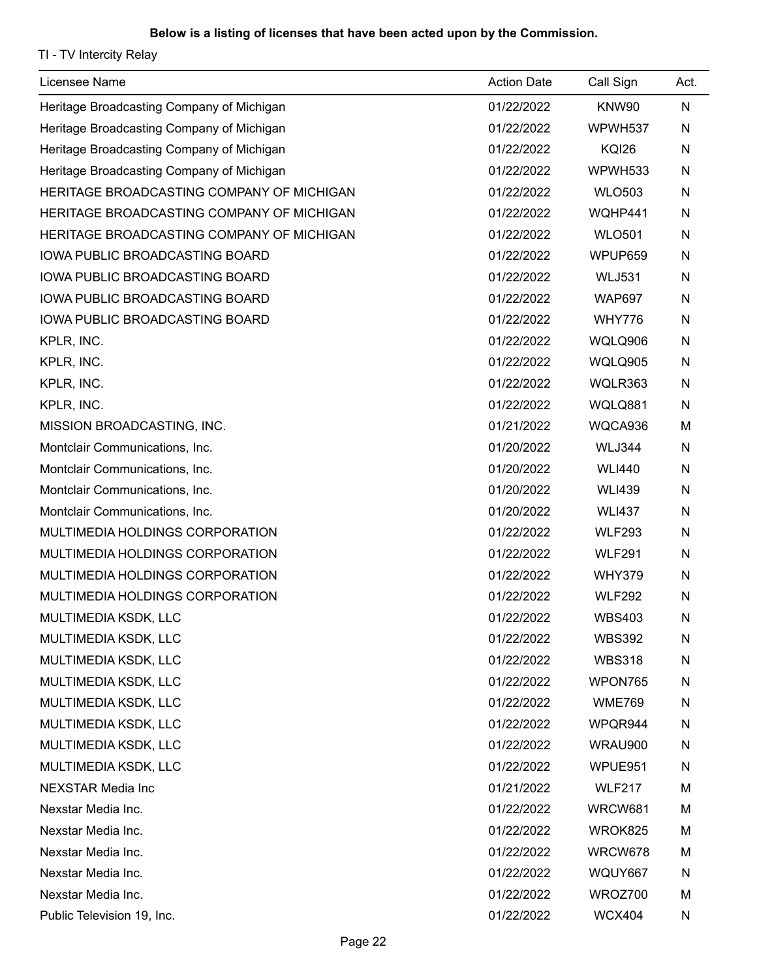| Licensee Name                             | <b>Action Date</b> | Call Sign     | Act. |
|-------------------------------------------|--------------------|---------------|------|
| Heritage Broadcasting Company of Michigan | 01/22/2022         | KNW90         | N    |
| Heritage Broadcasting Company of Michigan | 01/22/2022         | WPWH537       | N    |
| Heritage Broadcasting Company of Michigan | 01/22/2022         | <b>KQI26</b>  | N    |
| Heritage Broadcasting Company of Michigan | 01/22/2022         | WPWH533       | N    |
| HERITAGE BROADCASTING COMPANY OF MICHIGAN | 01/22/2022         | <b>WLO503</b> | N    |
| HERITAGE BROADCASTING COMPANY OF MICHIGAN | 01/22/2022         | WQHP441       | N    |
| HERITAGE BROADCASTING COMPANY OF MICHIGAN | 01/22/2022         | <b>WLO501</b> | N    |
| <b>IOWA PUBLIC BROADCASTING BOARD</b>     | 01/22/2022         | WPUP659       | N    |
| IOWA PUBLIC BROADCASTING BOARD            | 01/22/2022         | <b>WLJ531</b> | N    |
| IOWA PUBLIC BROADCASTING BOARD            | 01/22/2022         | <b>WAP697</b> | N    |
| IOWA PUBLIC BROADCASTING BOARD            | 01/22/2022         | <b>WHY776</b> | N    |
| KPLR, INC.                                | 01/22/2022         | WQLQ906       | N    |
| KPLR, INC.                                | 01/22/2022         | WQLQ905       | N    |
| KPLR, INC.                                | 01/22/2022         | WQLR363       | N    |
| KPLR, INC.                                | 01/22/2022         | WQLQ881       | N    |
| MISSION BROADCASTING, INC.                | 01/21/2022         | WQCA936       | M    |
| Montclair Communications, Inc.            | 01/20/2022         | WLJ344        | N    |
| Montclair Communications, Inc.            | 01/20/2022         | <b>WLI440</b> | N    |
| Montclair Communications, Inc.            | 01/20/2022         | <b>WLI439</b> | N    |
| Montclair Communications, Inc.            | 01/20/2022         | <b>WLI437</b> | N    |
| MULTIMEDIA HOLDINGS CORPORATION           | 01/22/2022         | <b>WLF293</b> | N    |
| MULTIMEDIA HOLDINGS CORPORATION           | 01/22/2022         | <b>WLF291</b> | N    |
| MULTIMEDIA HOLDINGS CORPORATION           | 01/22/2022         | <b>WHY379</b> | N    |
| MULTIMEDIA HOLDINGS CORPORATION           | 01/22/2022         | <b>WLF292</b> | N    |
| MULTIMEDIA KSDK, LLC                      | 01/22/2022         | <b>WBS403</b> | N    |
| MULTIMEDIA KSDK, LLC                      | 01/22/2022         | <b>WBS392</b> | N    |
| MULTIMEDIA KSDK, LLC                      | 01/22/2022         | <b>WBS318</b> | N    |
| MULTIMEDIA KSDK, LLC                      | 01/22/2022         | WPON765       | N    |
| MULTIMEDIA KSDK, LLC                      | 01/22/2022         | <b>WME769</b> | N    |
| MULTIMEDIA KSDK, LLC                      | 01/22/2022         | WPQR944       | N    |
| MULTIMEDIA KSDK, LLC                      | 01/22/2022         | WRAU900       | N    |
| MULTIMEDIA KSDK, LLC                      | 01/22/2022         | WPUE951       | N    |
| <b>NEXSTAR Media Inc</b>                  | 01/21/2022         | <b>WLF217</b> | M    |
| Nexstar Media Inc.                        | 01/22/2022         | WRCW681       | M    |
| Nexstar Media Inc.                        | 01/22/2022         | WROK825       | M    |
| Nexstar Media Inc.                        | 01/22/2022         | WRCW678       | M    |
| Nexstar Media Inc.                        | 01/22/2022         | WQUY667       | N    |
| Nexstar Media Inc.                        | 01/22/2022         | WROZ700       | M    |
| Public Television 19, Inc.                | 01/22/2022         | <b>WCX404</b> | N    |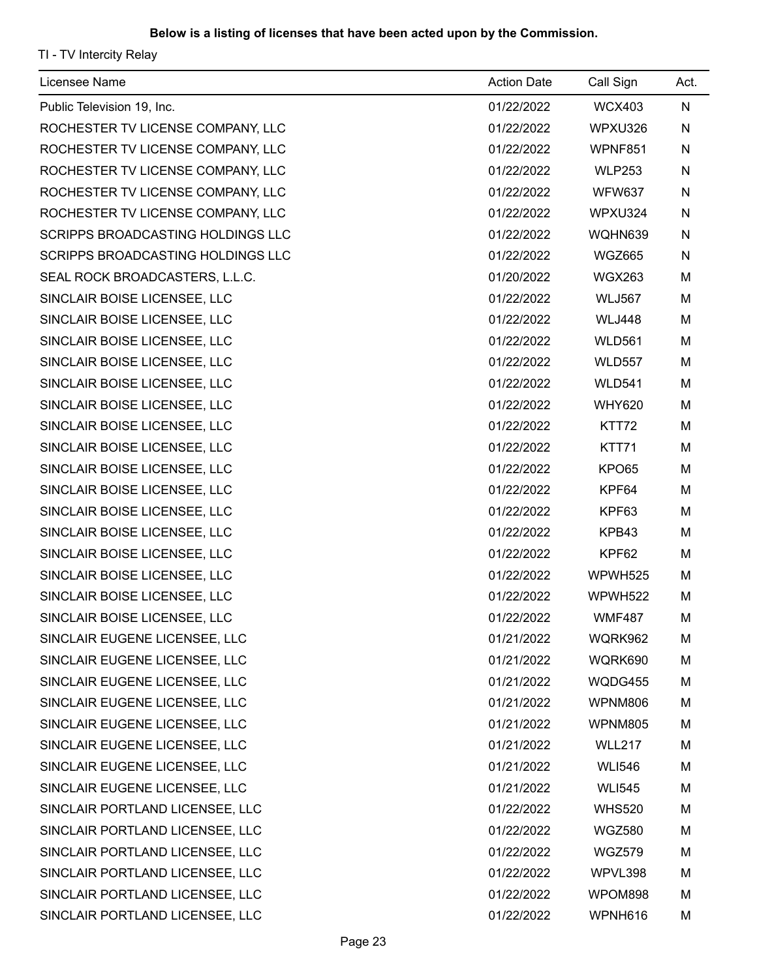| Licensee Name                            | <b>Action Date</b> | Call Sign     | Act.      |
|------------------------------------------|--------------------|---------------|-----------|
| Public Television 19, Inc.               | 01/22/2022         | <b>WCX403</b> | ${\sf N}$ |
| ROCHESTER TV LICENSE COMPANY, LLC        | 01/22/2022         | WPXU326       | N         |
| ROCHESTER TV LICENSE COMPANY, LLC        | 01/22/2022         | WPNF851       | N         |
| ROCHESTER TV LICENSE COMPANY, LLC        | 01/22/2022         | <b>WLP253</b> | N         |
| ROCHESTER TV LICENSE COMPANY, LLC        | 01/22/2022         | <b>WFW637</b> | N         |
| ROCHESTER TV LICENSE COMPANY, LLC        | 01/22/2022         | WPXU324       | N         |
| <b>SCRIPPS BROADCASTING HOLDINGS LLC</b> | 01/22/2022         | WQHN639       | N         |
| SCRIPPS BROADCASTING HOLDINGS LLC        | 01/22/2022         | <b>WGZ665</b> | N         |
| SEAL ROCK BROADCASTERS, L.L.C.           | 01/20/2022         | <b>WGX263</b> | M         |
| SINCLAIR BOISE LICENSEE, LLC             | 01/22/2022         | <b>WLJ567</b> | M         |
| SINCLAIR BOISE LICENSEE, LLC             | 01/22/2022         | <b>WLJ448</b> | M         |
| SINCLAIR BOISE LICENSEE, LLC             | 01/22/2022         | <b>WLD561</b> | M         |
| SINCLAIR BOISE LICENSEE, LLC             | 01/22/2022         | <b>WLD557</b> | M         |
| SINCLAIR BOISE LICENSEE, LLC             | 01/22/2022         | <b>WLD541</b> | M         |
| SINCLAIR BOISE LICENSEE, LLC             | 01/22/2022         | <b>WHY620</b> | M         |
| SINCLAIR BOISE LICENSEE, LLC             | 01/22/2022         | KTT72         | M         |
| SINCLAIR BOISE LICENSEE, LLC             | 01/22/2022         | KTT71         | M         |
| SINCLAIR BOISE LICENSEE, LLC             | 01/22/2022         | KPO65         | M         |
| SINCLAIR BOISE LICENSEE, LLC             | 01/22/2022         | KPF64         | M         |
| SINCLAIR BOISE LICENSEE, LLC             | 01/22/2022         | KPF63         | M         |
| SINCLAIR BOISE LICENSEE, LLC             | 01/22/2022         | KPB43         | M         |
| SINCLAIR BOISE LICENSEE, LLC             | 01/22/2022         | KPF62         | M         |
| SINCLAIR BOISE LICENSEE, LLC             | 01/22/2022         | WPWH525       | M         |
| SINCLAIR BOISE LICENSEE, LLC             | 01/22/2022         | WPWH522       | M         |
| SINCLAIR BOISE LICENSEE, LLC             | 01/22/2022         | <b>WMF487</b> | M         |
| SINCLAIR EUGENE LICENSEE, LLC            | 01/21/2022         | WQRK962       | M         |
| SINCLAIR EUGENE LICENSEE, LLC            | 01/21/2022         | WQRK690       | M         |
| SINCLAIR EUGENE LICENSEE, LLC            | 01/21/2022         | WQDG455       | M         |
| SINCLAIR EUGENE LICENSEE, LLC            | 01/21/2022         | WPNM806       | M         |
| SINCLAIR EUGENE LICENSEE, LLC            | 01/21/2022         | WPNM805       | M         |
| SINCLAIR EUGENE LICENSEE, LLC            | 01/21/2022         | <b>WLL217</b> | M         |
| SINCLAIR EUGENE LICENSEE, LLC            | 01/21/2022         | <b>WLI546</b> | M         |
| SINCLAIR EUGENE LICENSEE, LLC            | 01/21/2022         | <b>WLI545</b> | M         |
| SINCLAIR PORTLAND LICENSEE, LLC          | 01/22/2022         | <b>WHS520</b> | M         |
| SINCLAIR PORTLAND LICENSEE, LLC          | 01/22/2022         | <b>WGZ580</b> | M         |
| SINCLAIR PORTLAND LICENSEE, LLC          | 01/22/2022         | <b>WGZ579</b> | M         |
| SINCLAIR PORTLAND LICENSEE, LLC          | 01/22/2022         | WPVL398       | M         |
| SINCLAIR PORTLAND LICENSEE, LLC          | 01/22/2022         | WPOM898       | M         |
| SINCLAIR PORTLAND LICENSEE, LLC          | 01/22/2022         | WPNH616       | M         |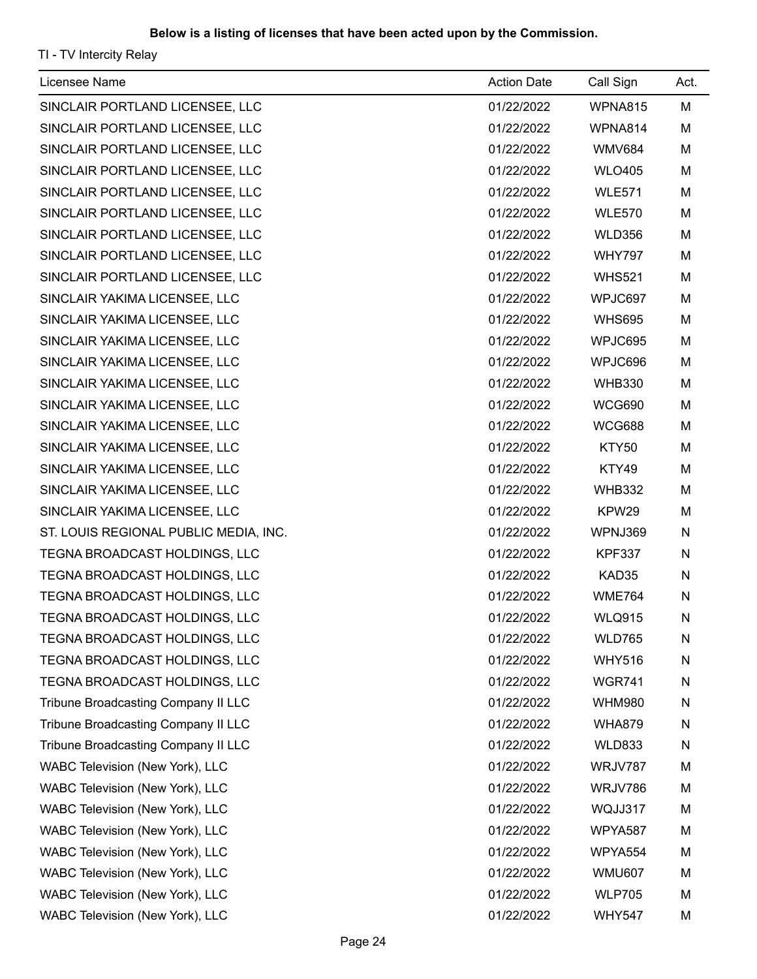| Licensee Name                         | <b>Action Date</b> | Call Sign      | Act. |
|---------------------------------------|--------------------|----------------|------|
| SINCLAIR PORTLAND LICENSEE, LLC       | 01/22/2022         | <b>WPNA815</b> | M    |
| SINCLAIR PORTLAND LICENSEE, LLC       | 01/22/2022         | WPNA814        | M    |
| SINCLAIR PORTLAND LICENSEE, LLC       | 01/22/2022         | <b>WMV684</b>  | M    |
| SINCLAIR PORTLAND LICENSEE, LLC       | 01/22/2022         | <b>WLO405</b>  | M    |
| SINCLAIR PORTLAND LICENSEE, LLC       | 01/22/2022         | <b>WLE571</b>  | M    |
| SINCLAIR PORTLAND LICENSEE, LLC       | 01/22/2022         | <b>WLE570</b>  | M    |
| SINCLAIR PORTLAND LICENSEE, LLC       | 01/22/2022         | <b>WLD356</b>  | M    |
| SINCLAIR PORTLAND LICENSEE, LLC       | 01/22/2022         | <b>WHY797</b>  | M    |
| SINCLAIR PORTLAND LICENSEE, LLC       | 01/22/2022         | <b>WHS521</b>  | M    |
| SINCLAIR YAKIMA LICENSEE, LLC         | 01/22/2022         | WPJC697        | M    |
| SINCLAIR YAKIMA LICENSEE, LLC         | 01/22/2022         | <b>WHS695</b>  | M    |
| SINCLAIR YAKIMA LICENSEE, LLC         | 01/22/2022         | WPJC695        | M    |
| SINCLAIR YAKIMA LICENSEE, LLC         | 01/22/2022         | WPJC696        | M    |
| SINCLAIR YAKIMA LICENSEE, LLC         | 01/22/2022         | <b>WHB330</b>  | M    |
| SINCLAIR YAKIMA LICENSEE, LLC         | 01/22/2022         | <b>WCG690</b>  | M    |
| SINCLAIR YAKIMA LICENSEE, LLC         | 01/22/2022         | <b>WCG688</b>  | M    |
| SINCLAIR YAKIMA LICENSEE, LLC         | 01/22/2022         | KTY50          | M    |
| SINCLAIR YAKIMA LICENSEE, LLC         | 01/22/2022         | KTY49          | M    |
| SINCLAIR YAKIMA LICENSEE, LLC         | 01/22/2022         | <b>WHB332</b>  | M    |
| SINCLAIR YAKIMA LICENSEE, LLC         | 01/22/2022         | KPW29          | M    |
| ST. LOUIS REGIONAL PUBLIC MEDIA, INC. | 01/22/2022         | WPNJ369        | N    |
| TEGNA BROADCAST HOLDINGS, LLC         | 01/22/2022         | <b>KPF337</b>  | N    |
| TEGNA BROADCAST HOLDINGS, LLC         | 01/22/2022         | KAD35          | N    |
| TEGNA BROADCAST HOLDINGS, LLC         | 01/22/2022         | <b>WME764</b>  | N    |
| TEGNA BROADCAST HOLDINGS, LLC         | 01/22/2022         | <b>WLQ915</b>  | N    |
| TEGNA BROADCAST HOLDINGS, LLC         | 01/22/2022         | <b>WLD765</b>  | N    |
| TEGNA BROADCAST HOLDINGS, LLC         | 01/22/2022         | <b>WHY516</b>  | N    |
| TEGNA BROADCAST HOLDINGS, LLC         | 01/22/2022         | <b>WGR741</b>  | N    |
| Tribune Broadcasting Company II LLC   | 01/22/2022         | <b>WHM980</b>  | N    |
| Tribune Broadcasting Company II LLC   | 01/22/2022         | <b>WHA879</b>  | N    |
| Tribune Broadcasting Company II LLC   | 01/22/2022         | <b>WLD833</b>  | N    |
| WABC Television (New York), LLC       | 01/22/2022         | WRJV787        | M    |
| WABC Television (New York), LLC       | 01/22/2022         | WRJV786        | M    |
| WABC Television (New York), LLC       | 01/22/2022         | WQJJ317        | M    |
| WABC Television (New York), LLC       | 01/22/2022         | WPYA587        | M    |
| WABC Television (New York), LLC       | 01/22/2022         | WPYA554        | M    |
| WABC Television (New York), LLC       | 01/22/2022         | <b>WMU607</b>  | M    |
| WABC Television (New York), LLC       | 01/22/2022         | <b>WLP705</b>  | M    |
| WABC Television (New York), LLC       | 01/22/2022         | <b>WHY547</b>  | M    |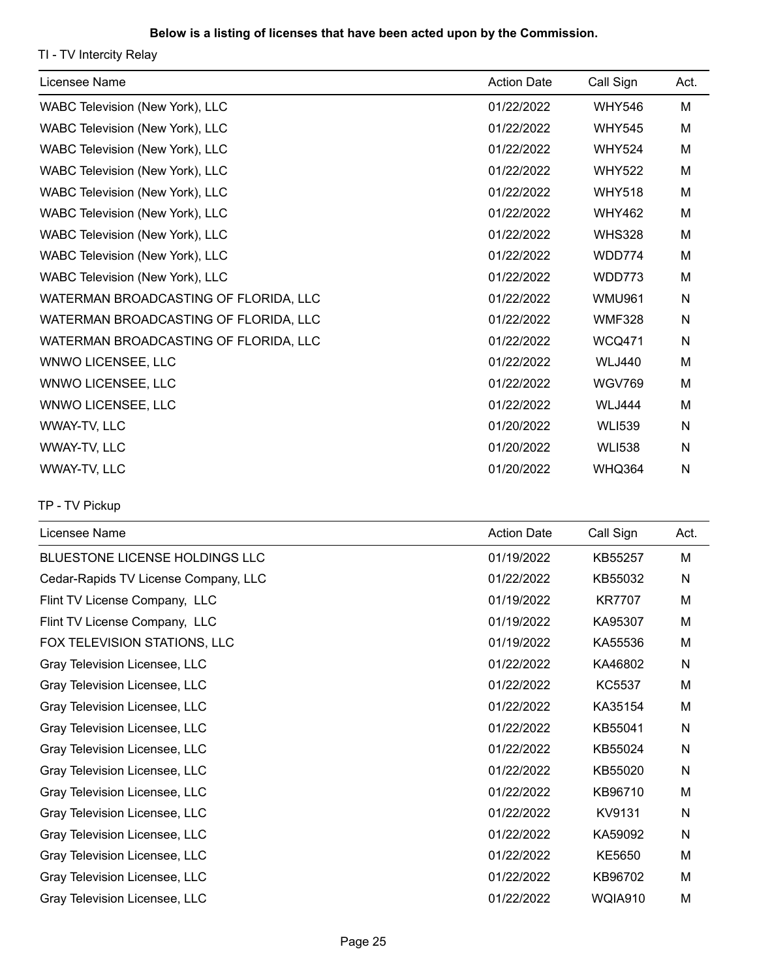TI - TV Intercity Relay

| Licensee Name                         | <b>Action Date</b> | Call Sign     | Act. |
|---------------------------------------|--------------------|---------------|------|
| WABC Television (New York), LLC       | 01/22/2022         | <b>WHY546</b> | M    |
| WABC Television (New York), LLC       | 01/22/2022         | <b>WHY545</b> | M    |
| WABC Television (New York), LLC       | 01/22/2022         | <b>WHY524</b> | M    |
| WABC Television (New York), LLC       | 01/22/2022         | <b>WHY522</b> | M    |
| WABC Television (New York), LLC       | 01/22/2022         | <b>WHY518</b> | М    |
| WABC Television (New York), LLC       | 01/22/2022         | <b>WHY462</b> | M    |
| WABC Television (New York), LLC       | 01/22/2022         | <b>WHS328</b> | M    |
| WABC Television (New York), LLC       | 01/22/2022         | WDD774        | M    |
| WABC Television (New York), LLC       | 01/22/2022         | WDD773        | M    |
| WATERMAN BROADCASTING OF FLORIDA, LLC | 01/22/2022         | <b>WMU961</b> | N    |
| WATERMAN BROADCASTING OF FLORIDA, LLC | 01/22/2022         | <b>WMF328</b> | N    |
| WATERMAN BROADCASTING OF FLORIDA, LLC | 01/22/2022         | <b>WCQ471</b> | N    |
| WNWO LICENSEE, LLC                    | 01/22/2022         | <b>WLJ440</b> | M    |
| <b>WNWO LICENSEE, LLC</b>             | 01/22/2022         | <b>WGV769</b> | M    |
| WNWO LICENSEE, LLC                    | 01/22/2022         | <b>WLJ444</b> | M    |
| WWAY-TV, LLC                          | 01/20/2022         | <b>WLI539</b> | N    |
| WWAY-TV, LLC                          | 01/20/2022         | <b>WLI538</b> | N    |
| WWAY-TV, LLC                          | 01/20/2022         | <b>WHQ364</b> | N    |

TP - TV Pickup

| Licensee Name                        | <b>Action Date</b> | Call Sign     | Act.         |
|--------------------------------------|--------------------|---------------|--------------|
| BLUESTONE LICENSE HOLDINGS LLC       | 01/19/2022         | KB55257       | M            |
| Cedar-Rapids TV License Company, LLC | 01/22/2022         | KB55032       | N            |
| Flint TV License Company, LLC        | 01/19/2022         | <b>KR7707</b> | М            |
| Flint TV License Company, LLC        | 01/19/2022         | KA95307       | М            |
| FOX TELEVISION STATIONS, LLC         | 01/19/2022         | KA55536       | M            |
| Gray Television Licensee, LLC        | 01/22/2022         | KA46802       | N            |
| Gray Television Licensee, LLC        | 01/22/2022         | <b>KC5537</b> | M            |
| Gray Television Licensee, LLC        | 01/22/2022         | KA35154       | M            |
| Gray Television Licensee, LLC        | 01/22/2022         | KB55041       | $\mathsf{N}$ |
| Gray Television Licensee, LLC        | 01/22/2022         | KB55024       | N            |
| Gray Television Licensee, LLC        | 01/22/2022         | KB55020       | N            |
| Gray Television Licensee, LLC        | 01/22/2022         | KB96710       | M            |
| Gray Television Licensee, LLC        | 01/22/2022         | KV9131        | N            |
| Gray Television Licensee, LLC        | 01/22/2022         | KA59092       | N            |
| Gray Television Licensee, LLC        | 01/22/2022         | KE5650        | M            |
| Gray Television Licensee, LLC        | 01/22/2022         | KB96702       | М            |
| Gray Television Licensee, LLC        | 01/22/2022         | WQIA910       | M            |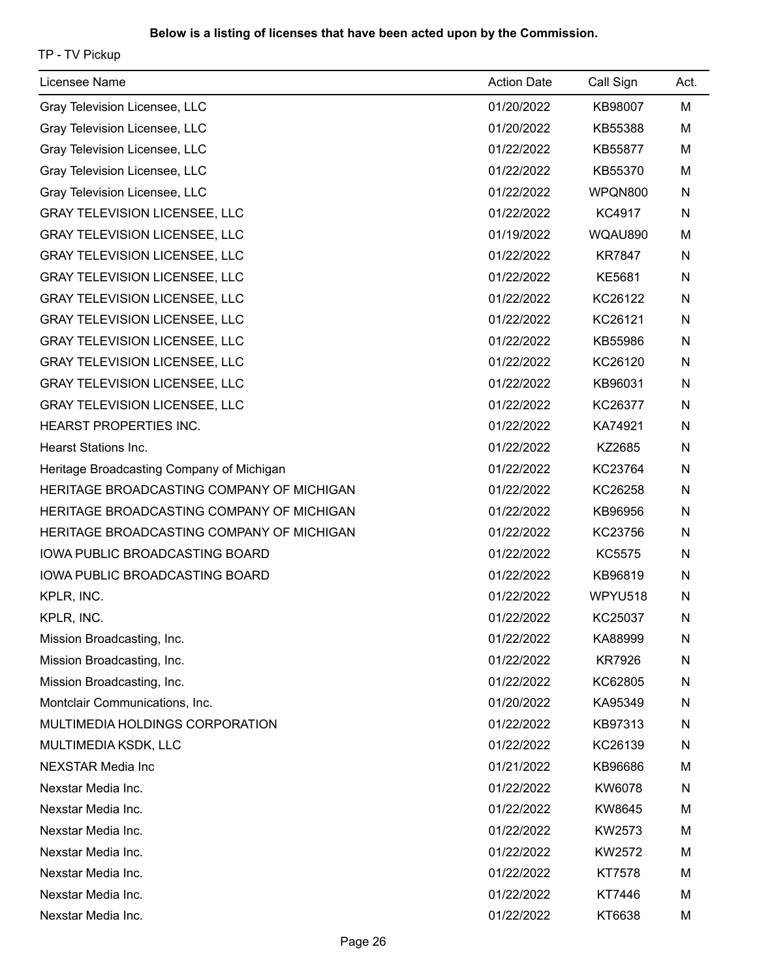TP - TV Pickup

| Licensee Name                             | <b>Action Date</b> | Call Sign     | Act. |
|-------------------------------------------|--------------------|---------------|------|
| Gray Television Licensee, LLC             | 01/20/2022         | KB98007       | M    |
| Gray Television Licensee, LLC             | 01/20/2022         | KB55388       | M    |
| Gray Television Licensee, LLC             | 01/22/2022         | KB55877       | M    |
| Gray Television Licensee, LLC             | 01/22/2022         | KB55370       | M    |
| Gray Television Licensee, LLC             | 01/22/2022         | WPQN800       | N    |
| <b>GRAY TELEVISION LICENSEE, LLC</b>      | 01/22/2022         | KC4917        | N    |
| <b>GRAY TELEVISION LICENSEE, LLC</b>      | 01/19/2022         | WQAU890       | M    |
| <b>GRAY TELEVISION LICENSEE, LLC</b>      | 01/22/2022         | <b>KR7847</b> | N    |
| <b>GRAY TELEVISION LICENSEE, LLC</b>      | 01/22/2022         | KE5681        | N    |
| <b>GRAY TELEVISION LICENSEE, LLC</b>      | 01/22/2022         | KC26122       | N    |
| <b>GRAY TELEVISION LICENSEE, LLC</b>      | 01/22/2022         | KC26121       | N    |
| <b>GRAY TELEVISION LICENSEE, LLC</b>      | 01/22/2022         | KB55986       | N    |
| <b>GRAY TELEVISION LICENSEE, LLC</b>      | 01/22/2022         | KC26120       | N    |
| <b>GRAY TELEVISION LICENSEE, LLC</b>      | 01/22/2022         | KB96031       | N    |
| <b>GRAY TELEVISION LICENSEE, LLC</b>      | 01/22/2022         | KC26377       | N    |
| <b>HEARST PROPERTIES INC.</b>             | 01/22/2022         | KA74921       | N    |
| <b>Hearst Stations Inc.</b>               | 01/22/2022         | KZ2685        | N    |
| Heritage Broadcasting Company of Michigan | 01/22/2022         | KC23764       | N    |
| HERITAGE BROADCASTING COMPANY OF MICHIGAN | 01/22/2022         | KC26258       | N    |
| HERITAGE BROADCASTING COMPANY OF MICHIGAN | 01/22/2022         | KB96956       | N    |
| HERITAGE BROADCASTING COMPANY OF MICHIGAN | 01/22/2022         | KC23756       | N    |
| <b>IOWA PUBLIC BROADCASTING BOARD</b>     | 01/22/2022         | <b>KC5575</b> | N    |
| IOWA PUBLIC BROADCASTING BOARD            | 01/22/2022         | KB96819       | N    |
| KPLR, INC.                                | 01/22/2022         | WPYU518       | N    |
| <b>KPLR, INC.</b>                         | 01/22/2022         | KC25037       | N    |
| Mission Broadcasting, Inc.                | 01/22/2022         | KA88999       | N    |
| Mission Broadcasting, Inc.                | 01/22/2022         | <b>KR7926</b> | N    |
| Mission Broadcasting, Inc.                | 01/22/2022         | KC62805       | N    |
| Montclair Communications, Inc.            | 01/20/2022         | KA95349       | N    |
| MULTIMEDIA HOLDINGS CORPORATION           | 01/22/2022         | KB97313       | N    |
| MULTIMEDIA KSDK, LLC                      | 01/22/2022         | KC26139       | N    |
| <b>NEXSTAR Media Inc</b>                  | 01/21/2022         | KB96686       | M    |
| Nexstar Media Inc.                        | 01/22/2022         | KW6078        | N    |
| Nexstar Media Inc.                        | 01/22/2022         | KW8645        | M    |
| Nexstar Media Inc.                        | 01/22/2022         | KW2573        | M    |
| Nexstar Media Inc.                        | 01/22/2022         | KW2572        | M    |
| Nexstar Media Inc.                        | 01/22/2022         | KT7578        | M    |
| Nexstar Media Inc.                        | 01/22/2022         | KT7446        | M    |
| Nexstar Media Inc.                        | 01/22/2022         | KT6638        | M    |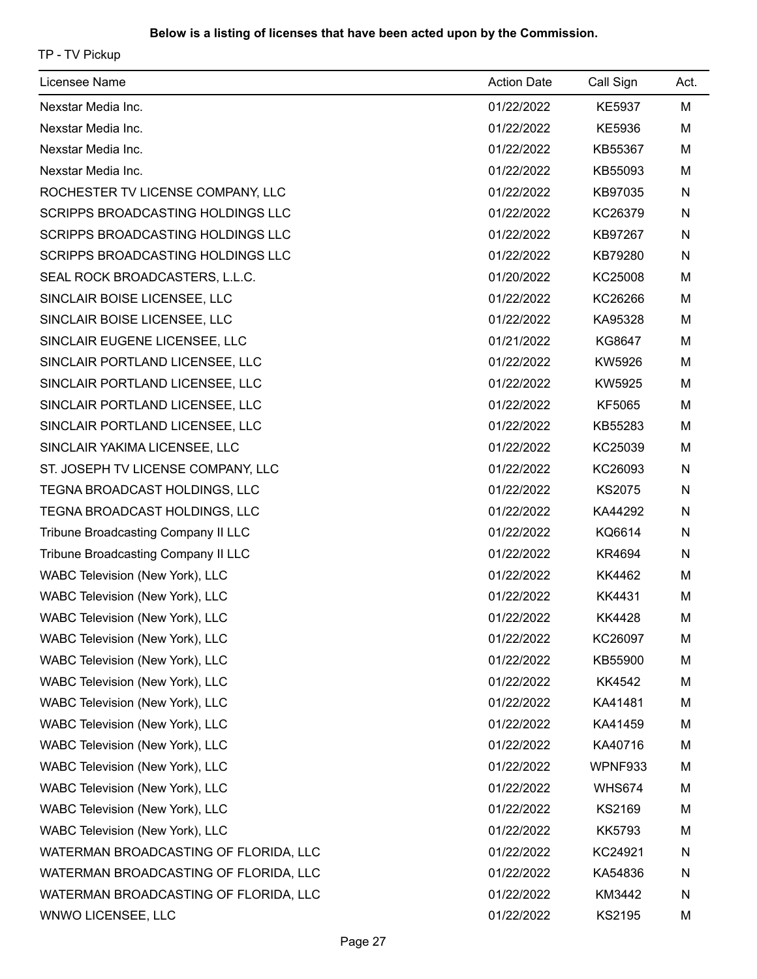TP - TV Pickup

| Licensee Name                            | <b>Action Date</b> | Call Sign     | Act. |
|------------------------------------------|--------------------|---------------|------|
| Nexstar Media Inc.                       | 01/22/2022         | <b>KE5937</b> | M    |
| Nexstar Media Inc.                       | 01/22/2022         | KE5936        | M    |
| Nexstar Media Inc.                       | 01/22/2022         | KB55367       | M    |
| Nexstar Media Inc.                       | 01/22/2022         | KB55093       | M    |
| ROCHESTER TV LICENSE COMPANY, LLC        | 01/22/2022         | KB97035       | N    |
| <b>SCRIPPS BROADCASTING HOLDINGS LLC</b> | 01/22/2022         | KC26379       | N    |
| SCRIPPS BROADCASTING HOLDINGS LLC        | 01/22/2022         | KB97267       | N    |
| SCRIPPS BROADCASTING HOLDINGS LLC        | 01/22/2022         | KB79280       | N    |
| SEAL ROCK BROADCASTERS, L.L.C.           | 01/20/2022         | KC25008       | M    |
| SINCLAIR BOISE LICENSEE, LLC             | 01/22/2022         | KC26266       | M    |
| SINCLAIR BOISE LICENSEE, LLC             | 01/22/2022         | KA95328       | M    |
| SINCLAIR EUGENE LICENSEE, LLC            | 01/21/2022         | KG8647        | M    |
| SINCLAIR PORTLAND LICENSEE, LLC          | 01/22/2022         | KW5926        | M    |
| SINCLAIR PORTLAND LICENSEE, LLC          | 01/22/2022         | KW5925        | M    |
| SINCLAIR PORTLAND LICENSEE, LLC          | 01/22/2022         | KF5065        | M    |
| SINCLAIR PORTLAND LICENSEE, LLC          | 01/22/2022         | KB55283       | M    |
| SINCLAIR YAKIMA LICENSEE, LLC            | 01/22/2022         | KC25039       | M    |
| ST. JOSEPH TV LICENSE COMPANY, LLC       | 01/22/2022         | KC26093       | N    |
| TEGNA BROADCAST HOLDINGS, LLC            | 01/22/2022         | <b>KS2075</b> | N    |
| TEGNA BROADCAST HOLDINGS, LLC            | 01/22/2022         | KA44292       | N    |
| Tribune Broadcasting Company II LLC      | 01/22/2022         | KQ6614        | N    |
| Tribune Broadcasting Company II LLC      | 01/22/2022         | KR4694        | N    |
| WABC Television (New York), LLC          | 01/22/2022         | KK4462        | M    |
| WABC Television (New York), LLC          | 01/22/2022         | KK4431        | M    |
| WABC Television (New York), LLC          | 01/22/2022         | KK4428        | м    |
| WABC Television (New York), LLC          | 01/22/2022         | KC26097       | M    |
| WABC Television (New York), LLC          | 01/22/2022         | KB55900       | M    |
| WABC Television (New York), LLC          | 01/22/2022         | KK4542        | M    |
| WABC Television (New York), LLC          | 01/22/2022         | KA41481       | M    |
| WABC Television (New York), LLC          | 01/22/2022         | KA41459       | M    |
| WABC Television (New York), LLC          | 01/22/2022         | KA40716       | M    |
| WABC Television (New York), LLC          | 01/22/2022         | WPNF933       | М    |
| WABC Television (New York), LLC          | 01/22/2022         | <b>WHS674</b> | M    |
| WABC Television (New York), LLC          | 01/22/2022         | KS2169        | M    |
| WABC Television (New York), LLC          | 01/22/2022         | <b>KK5793</b> | M    |
| WATERMAN BROADCASTING OF FLORIDA, LLC    | 01/22/2022         | KC24921       | N    |
| WATERMAN BROADCASTING OF FLORIDA, LLC    | 01/22/2022         | KA54836       | N    |
| WATERMAN BROADCASTING OF FLORIDA, LLC    | 01/22/2022         | KM3442        | N    |
| WNWO LICENSEE, LLC                       | 01/22/2022         | KS2195        | M    |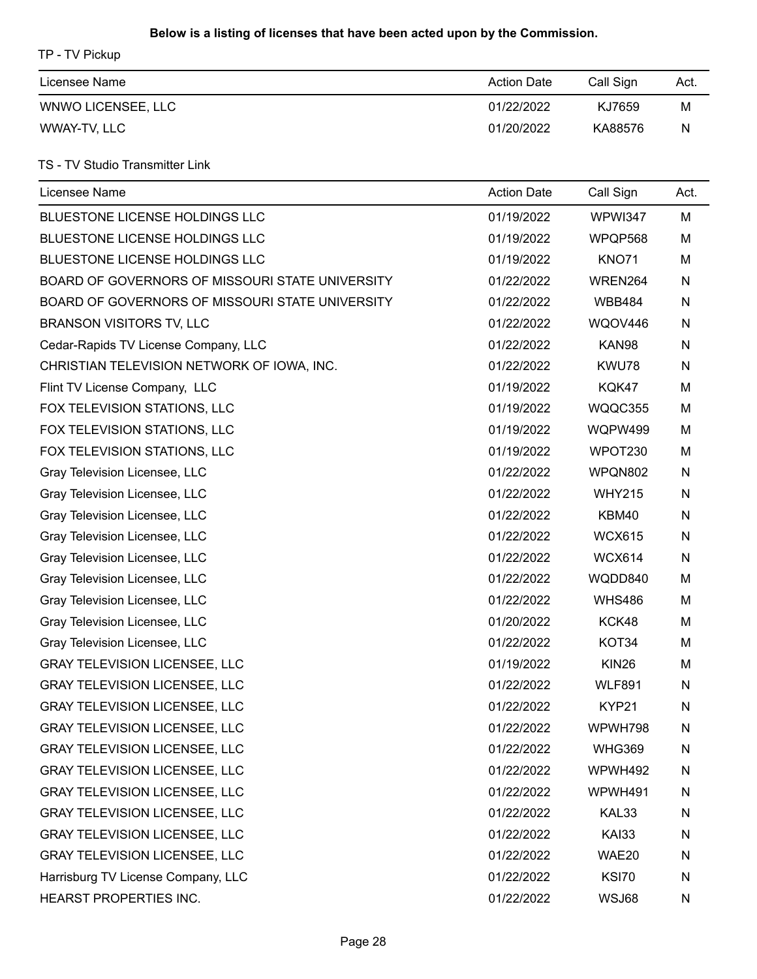TP - TV Pickup

| Licensee Name      | <b>Action Date</b> | Call Sign | Act. |
|--------------------|--------------------|-----------|------|
| WNWO LICENSEE, LLC | 01/22/2022         | KJ7659    | М    |
| WWAY-TV, LLC       | 01/20/2022         | KA88576   | N    |

# TS - TV Studio Transmitter Link

| Licensee Name                                   | <b>Action Date</b> | Call Sign     | Act. |
|-------------------------------------------------|--------------------|---------------|------|
| BLUESTONE LICENSE HOLDINGS LLC                  | 01/19/2022         | WPWI347       | M    |
| BLUESTONE LICENSE HOLDINGS LLC                  | 01/19/2022         | WPQP568       | M    |
| <b>BLUESTONE LICENSE HOLDINGS LLC</b>           | 01/19/2022         | <b>KNO71</b>  | M    |
| BOARD OF GOVERNORS OF MISSOURI STATE UNIVERSITY | 01/22/2022         | WREN264       | N    |
| BOARD OF GOVERNORS OF MISSOURI STATE UNIVERSITY | 01/22/2022         | <b>WBB484</b> | N    |
| <b>BRANSON VISITORS TV, LLC</b>                 | 01/22/2022         | WQOV446       | N    |
| Cedar-Rapids TV License Company, LLC            | 01/22/2022         | KAN98         | N    |
| CHRISTIAN TELEVISION NETWORK OF IOWA, INC.      | 01/22/2022         | KWU78         | N    |
| Flint TV License Company, LLC                   | 01/19/2022         | KQK47         | M    |
| FOX TELEVISION STATIONS, LLC                    | 01/19/2022         | WQQC355       | M    |
| FOX TELEVISION STATIONS, LLC                    | 01/19/2022         | WQPW499       | M    |
| FOX TELEVISION STATIONS, LLC                    | 01/19/2022         | WPOT230       | M    |
| Gray Television Licensee, LLC                   | 01/22/2022         | WPQN802       | N    |
| Gray Television Licensee, LLC                   | 01/22/2022         | <b>WHY215</b> | N    |
| Gray Television Licensee, LLC                   | 01/22/2022         | KBM40         | N    |
| Gray Television Licensee, LLC                   | 01/22/2022         | <b>WCX615</b> | N    |
| Gray Television Licensee, LLC                   | 01/22/2022         | <b>WCX614</b> | N    |
| Gray Television Licensee, LLC                   | 01/22/2022         | WQDD840       | M    |
| Gray Television Licensee, LLC                   | 01/22/2022         | <b>WHS486</b> | M    |
| Gray Television Licensee, LLC                   | 01/20/2022         | KCK48         | M    |
| Gray Television Licensee, LLC                   | 01/22/2022         | KOT34         | M    |
| <b>GRAY TELEVISION LICENSEE, LLC</b>            | 01/19/2022         | <b>KIN26</b>  | M    |
| <b>GRAY TELEVISION LICENSEE, LLC</b>            | 01/22/2022         | <b>WLF891</b> | N    |
| <b>GRAY TELEVISION LICENSEE, LLC</b>            | 01/22/2022         | KYP21         | N    |
| <b>GRAY TELEVISION LICENSEE, LLC</b>            | 01/22/2022         | WPWH798       | N    |
| <b>GRAY TELEVISION LICENSEE, LLC</b>            | 01/22/2022         | <b>WHG369</b> | N    |
| <b>GRAY TELEVISION LICENSEE, LLC</b>            | 01/22/2022         | WPWH492       | N    |
| <b>GRAY TELEVISION LICENSEE, LLC</b>            | 01/22/2022         | WPWH491       | N    |
| <b>GRAY TELEVISION LICENSEE, LLC</b>            | 01/22/2022         | KAL33         | N    |
| <b>GRAY TELEVISION LICENSEE, LLC</b>            | 01/22/2022         | <b>KAI33</b>  | N    |
| <b>GRAY TELEVISION LICENSEE, LLC</b>            | 01/22/2022         | WAE20         | N    |
| Harrisburg TV License Company, LLC              | 01/22/2022         | <b>KSI70</b>  | N    |
| HEARST PROPERTIES INC.                          | 01/22/2022         | WSJ68         | N    |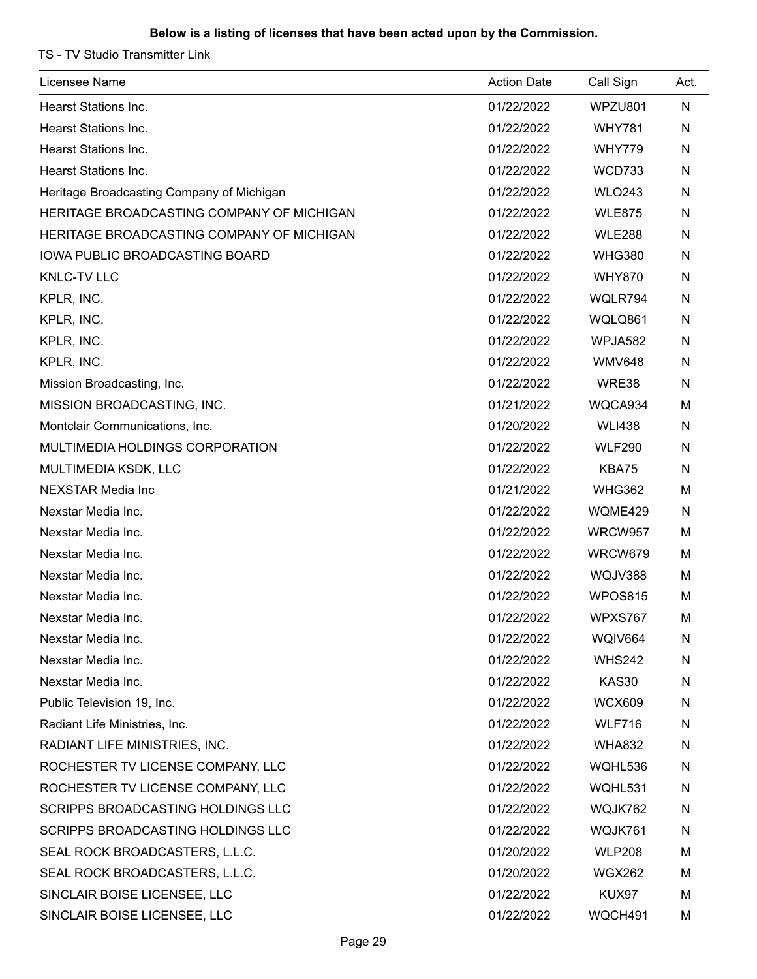TS - TV Studio Transmitter Link

| Licensee Name                             | <b>Action Date</b> | Call Sign     | Act. |
|-------------------------------------------|--------------------|---------------|------|
| <b>Hearst Stations Inc.</b>               | 01/22/2022         | WPZU801       | N    |
| <b>Hearst Stations Inc.</b>               | 01/22/2022         | <b>WHY781</b> | N    |
| <b>Hearst Stations Inc.</b>               | 01/22/2022         | <b>WHY779</b> | N    |
| Hearst Stations Inc.                      | 01/22/2022         | <b>WCD733</b> | N    |
| Heritage Broadcasting Company of Michigan | 01/22/2022         | <b>WLO243</b> | N    |
| HERITAGE BROADCASTING COMPANY OF MICHIGAN | 01/22/2022         | <b>WLE875</b> | N    |
| HERITAGE BROADCASTING COMPANY OF MICHIGAN | 01/22/2022         | <b>WLE288</b> | N    |
| IOWA PUBLIC BROADCASTING BOARD            | 01/22/2022         | <b>WHG380</b> | N    |
| <b>KNLC-TV LLC</b>                        | 01/22/2022         | <b>WHY870</b> | N    |
| KPLR, INC.                                | 01/22/2022         | WQLR794       | N    |
| KPLR, INC.                                | 01/22/2022         | WQLQ861       | N    |
| KPLR, INC.                                | 01/22/2022         | WPJA582       | N    |
| KPLR, INC.                                | 01/22/2022         | <b>WMV648</b> | N    |
| Mission Broadcasting, Inc.                | 01/22/2022         | WRE38         | N    |
| MISSION BROADCASTING, INC.                | 01/21/2022         | WQCA934       | M    |
| Montclair Communications, Inc.            | 01/20/2022         | <b>WLI438</b> | N    |
| MULTIMEDIA HOLDINGS CORPORATION           | 01/22/2022         | <b>WLF290</b> | N    |
| MULTIMEDIA KSDK, LLC                      | 01/22/2022         | KBA75         | N    |
| <b>NEXSTAR Media Inc</b>                  | 01/21/2022         | <b>WHG362</b> | M    |
| Nexstar Media Inc.                        | 01/22/2022         | WQME429       | N    |
| Nexstar Media Inc.                        | 01/22/2022         | WRCW957       | M    |
| Nexstar Media Inc.                        | 01/22/2022         | WRCW679       | M    |
| Nexstar Media Inc.                        | 01/22/2022         | WQJV388       | M    |
| Nexstar Media Inc.                        | 01/22/2022         | WPOS815       | M    |
| Nexstar Media Inc.                        | 01/22/2022         | WPXS767       | M    |
| Nexstar Media Inc.                        | 01/22/2022         | WQIV664       | N    |
| Nexstar Media Inc.                        | 01/22/2022         | <b>WHS242</b> | N    |
| Nexstar Media Inc.                        | 01/22/2022         | KAS30         | N    |
| Public Television 19, Inc.                | 01/22/2022         | <b>WCX609</b> | N    |
| Radiant Life Ministries, Inc.             | 01/22/2022         | <b>WLF716</b> | N    |
| RADIANT LIFE MINISTRIES, INC.             | 01/22/2022         | <b>WHA832</b> | N    |
| ROCHESTER TV LICENSE COMPANY, LLC         | 01/22/2022         | WQHL536       | N    |
| ROCHESTER TV LICENSE COMPANY, LLC         | 01/22/2022         | WQHL531       | N    |
| SCRIPPS BROADCASTING HOLDINGS LLC         | 01/22/2022         | WQJK762       | N    |
| SCRIPPS BROADCASTING HOLDINGS LLC         | 01/22/2022         | WQJK761       | N    |
| SEAL ROCK BROADCASTERS, L.L.C.            | 01/20/2022         | <b>WLP208</b> | M    |
| SEAL ROCK BROADCASTERS, L.L.C.            | 01/20/2022         | <b>WGX262</b> | М    |
| SINCLAIR BOISE LICENSEE, LLC              | 01/22/2022         | KUX97         | М    |
| SINCLAIR BOISE LICENSEE, LLC              | 01/22/2022         | WQCH491       | M    |